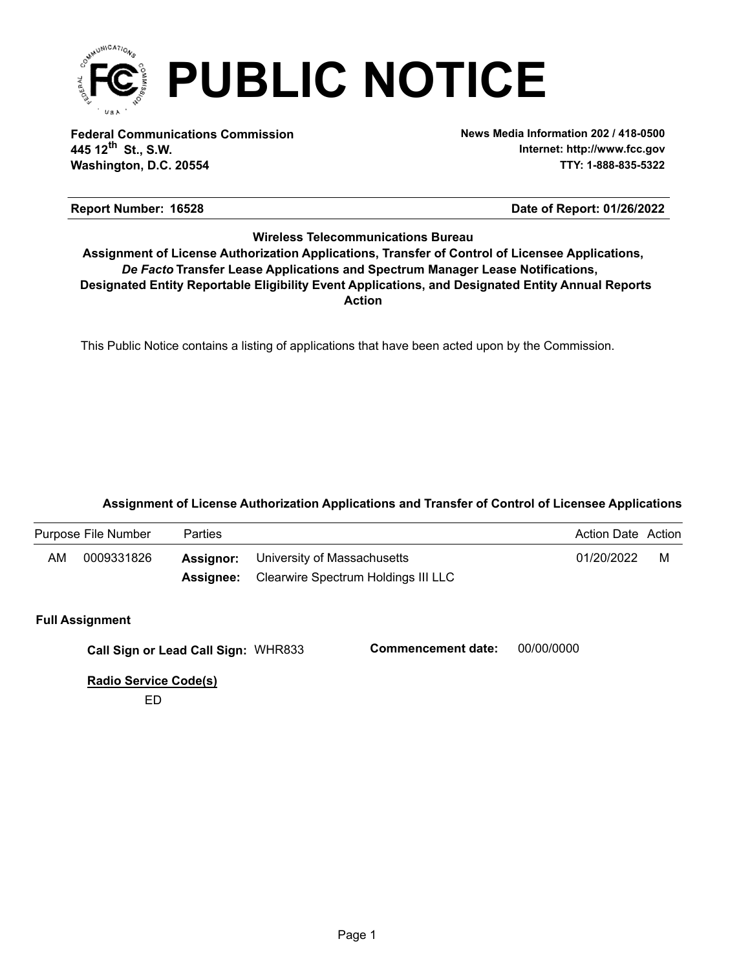

**Federal Communications Commission News Media Information 202 / 418-0500 Washington, D.C. 20554 TTY: 1-888-835-5322 445 12 St., S.W. th**

**Internet: http://www.fcc.gov**

## **Report Number: 16528 16528 16528 16528 16528 16628 1662 1663 1663 1664 1668 1668 1668 1668 1668 1668 1669 1668 1669 1668 1669 1668 1669 1668 1669 1668 1669 1668 1669 1668 1669 1668 1669 1668 1669 1668 1669 1668**

# **Wireless Telecommunications Bureau**

**Action** *De Facto* **Transfer Lease Applications and Spectrum Manager Lease Notifications, Designated Entity Reportable Eligibility Event Applications, and Designated Entity Annual Reports Assignment of License Authorization Applications, Transfer of Control of Licensee Applications,**

This Public Notice contains a listing of applications that have been acted upon by the Commission.

# **Assignment of License Authorization Applications and Transfer of Control of Licensee Applications**

| Purpose File Number |            | <b>Parties</b> |                                                                                     |            |   |
|---------------------|------------|----------------|-------------------------------------------------------------------------------------|------------|---|
| AM                  | 0009331826 | Assignor:      | University of Massachusetts<br><b>Assignee:</b> Clearwire Spectrum Holdings III LLC | 01/20/2022 | м |
|                     |            |                |                                                                                     |            |   |

### **Full Assignment**

WHR833 **Call Sign or Lead Call Sign: Commencement date:** 00/00/0000

**Radio Service Code(s)**

ED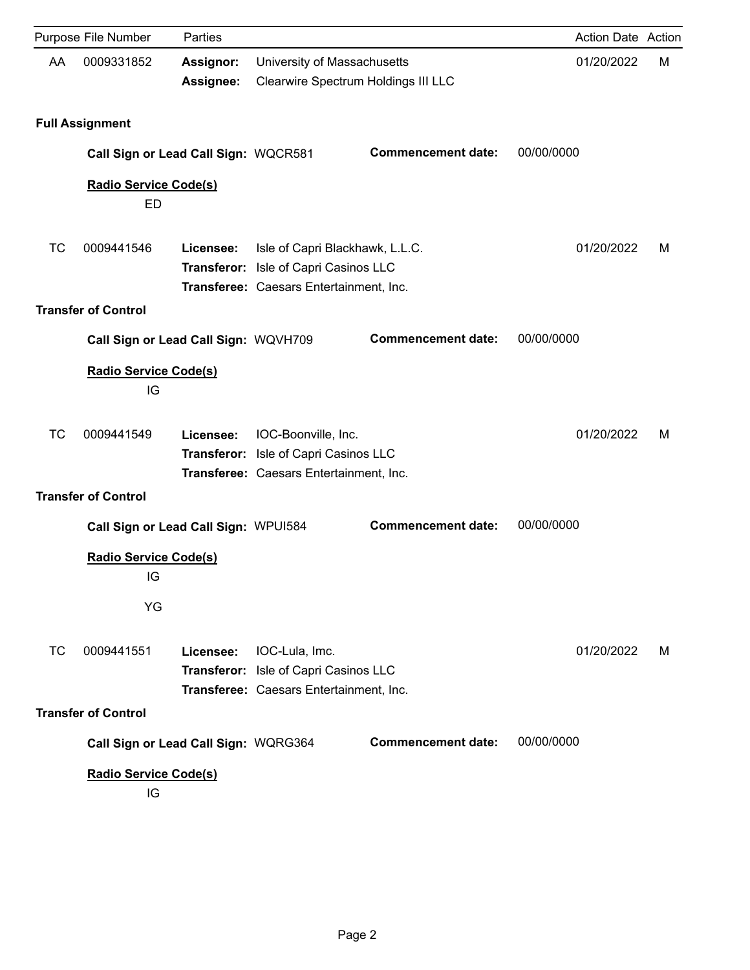|    | Purpose File Number                      | Parties                       |                                                                                                                     |                           | Action Date Action |   |
|----|------------------------------------------|-------------------------------|---------------------------------------------------------------------------------------------------------------------|---------------------------|--------------------|---|
| AA | 0009331852                               | <b>Assignor:</b><br>Assignee: | University of Massachusetts<br>Clearwire Spectrum Holdings III LLC                                                  |                           | 01/20/2022         | м |
|    | <b>Full Assignment</b>                   |                               |                                                                                                                     |                           |                    |   |
|    | Call Sign or Lead Call Sign: WQCR581     |                               |                                                                                                                     | <b>Commencement date:</b> | 00/00/0000         |   |
|    | <b>Radio Service Code(s)</b><br>ED       |                               |                                                                                                                     |                           |                    |   |
| ТC | 0009441546                               | Licensee:                     | Isle of Capri Blackhawk, L.L.C.<br>Transferor: Isle of Capri Casinos LLC<br>Transferee: Caesars Entertainment, Inc. |                           | 01/20/2022         | м |
|    | <b>Transfer of Control</b>               |                               |                                                                                                                     |                           |                    |   |
|    | Call Sign or Lead Call Sign: WQVH709     |                               |                                                                                                                     | <b>Commencement date:</b> | 00/00/0000         |   |
|    | <b>Radio Service Code(s)</b><br>IG       |                               |                                                                                                                     |                           |                    |   |
| TC | 0009441549                               | Licensee:                     | IOC-Boonville, Inc.<br>Transferor: Isle of Capri Casinos LLC<br>Transferee: Caesars Entertainment, Inc.             |                           | 01/20/2022         | м |
|    | <b>Transfer of Control</b>               |                               |                                                                                                                     |                           |                    |   |
|    | Call Sign or Lead Call Sign: WPUI584     |                               |                                                                                                                     | <b>Commencement date:</b> | 00/00/0000         |   |
|    | <b>Radio Service Code(s)</b><br>IG<br>YG |                               |                                                                                                                     |                           |                    |   |
| ТC | 0009441551                               | Licensee:                     | IOC-Lula, Imc.<br>Transferor: Isle of Capri Casinos LLC<br>Transferee: Caesars Entertainment, Inc.                  |                           | 01/20/2022         | м |
|    | <b>Transfer of Control</b>               |                               |                                                                                                                     |                           |                    |   |
|    | Call Sign or Lead Call Sign: WQRG364     |                               |                                                                                                                     | <b>Commencement date:</b> | 00/00/0000         |   |
|    | Radio Service Code(s)<br>IG              |                               |                                                                                                                     |                           |                    |   |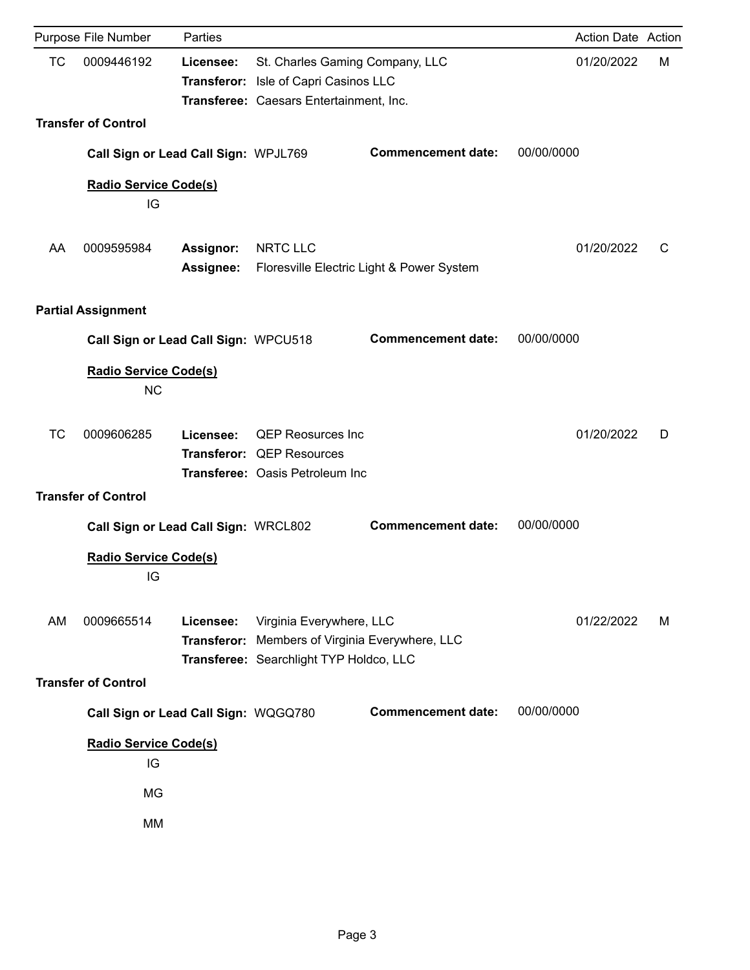|           | Purpose File Number                       | Parties                       |                                                                                                                     |                                           |            | <b>Action Date Action</b> |   |
|-----------|-------------------------------------------|-------------------------------|---------------------------------------------------------------------------------------------------------------------|-------------------------------------------|------------|---------------------------|---|
| <b>TC</b> | 0009446192                                | Licensee:                     | St. Charles Gaming Company, LLC<br>Transferor: Isle of Capri Casinos LLC<br>Transferee: Caesars Entertainment, Inc. |                                           |            | 01/20/2022                | м |
|           | <b>Transfer of Control</b>                |                               |                                                                                                                     |                                           |            |                           |   |
|           | Call Sign or Lead Call Sign: WPJL769      |                               |                                                                                                                     | <b>Commencement date:</b>                 | 00/00/0000 |                           |   |
|           | <b>Radio Service Code(s)</b><br>IG        |                               |                                                                                                                     |                                           |            |                           |   |
| AA        | 0009595984                                | Assignor:<br><b>Assignee:</b> | NRTC LLC                                                                                                            | Floresville Electric Light & Power System |            | 01/20/2022                | C |
|           | <b>Partial Assignment</b>                 |                               |                                                                                                                     |                                           |            |                           |   |
|           | Call Sign or Lead Call Sign: WPCU518      |                               |                                                                                                                     | <b>Commencement date:</b>                 | 00/00/0000 |                           |   |
|           | <b>Radio Service Code(s)</b><br><b>NC</b> |                               |                                                                                                                     |                                           |            |                           |   |
| <b>TC</b> | 0009606285                                | Licensee:                     | <b>QEP Reosurces Inc</b><br>Transferor: QEP Resources<br>Transferee: Oasis Petroleum Inc                            |                                           |            | 01/20/2022                | D |
|           | <b>Transfer of Control</b>                |                               |                                                                                                                     |                                           |            |                           |   |
|           | Call Sign or Lead Call Sign: WRCL802      |                               |                                                                                                                     | <b>Commencement date:</b>                 | 00/00/0000 |                           |   |
|           | <b>Radio Service Code(s)</b><br>IG        |                               |                                                                                                                     |                                           |            |                           |   |
| AM        | 0009665514                                | Licensee:<br>Transferor:      | Virginia Everywhere, LLC<br>Members of Virginia Everywhere, LLC<br>Transferee: Searchlight TYP Holdco, LLC          |                                           |            | 01/22/2022                | м |
|           | <b>Transfer of Control</b>                |                               |                                                                                                                     |                                           |            |                           |   |
|           | Call Sign or Lead Call Sign: WQGQ780      |                               |                                                                                                                     | <b>Commencement date:</b>                 | 00/00/0000 |                           |   |
|           | <b>Radio Service Code(s)</b><br>IG        |                               |                                                                                                                     |                                           |            |                           |   |
|           | MG                                        |                               |                                                                                                                     |                                           |            |                           |   |
|           | MM                                        |                               |                                                                                                                     |                                           |            |                           |   |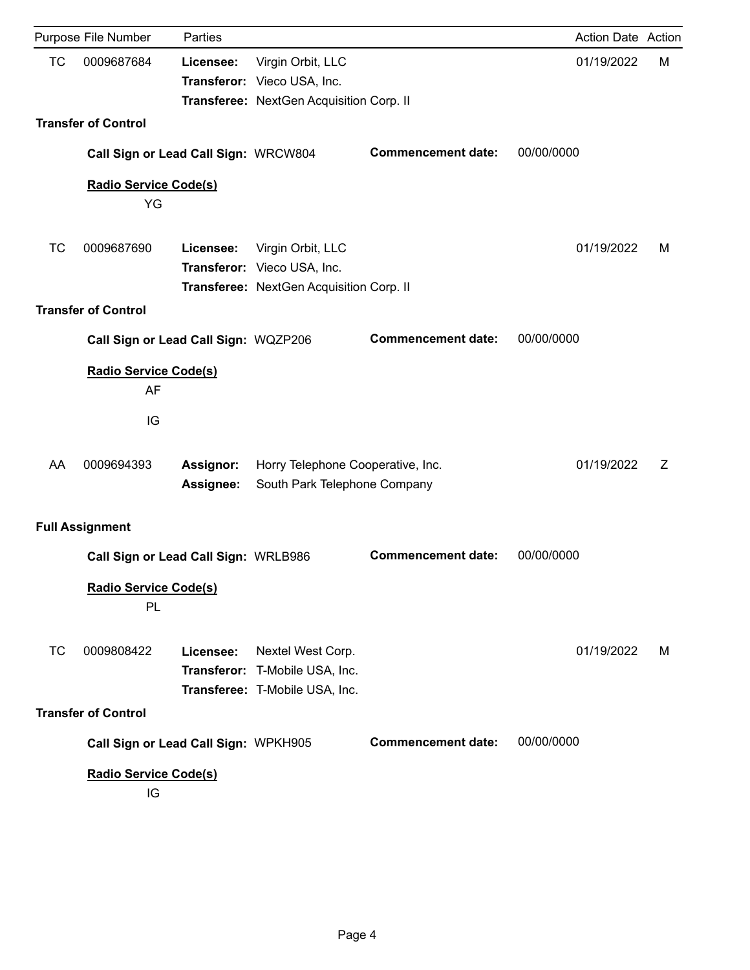|           | Purpose File Number                      | Parties                       |                                                                                              |                           |            | Action Date Action |
|-----------|------------------------------------------|-------------------------------|----------------------------------------------------------------------------------------------|---------------------------|------------|--------------------|
| <b>TC</b> | 0009687684                               | Licensee:                     | Virgin Orbit, LLC<br>Transferor: Vieco USA, Inc.<br>Transferee: NextGen Acquisition Corp. II |                           | 01/19/2022 | M                  |
|           | <b>Transfer of Control</b>               |                               |                                                                                              |                           |            |                    |
|           | Call Sign or Lead Call Sign: WRCW804     |                               |                                                                                              | <b>Commencement date:</b> | 00/00/0000 |                    |
|           | <b>Radio Service Code(s)</b>             |                               |                                                                                              |                           |            |                    |
|           | YG                                       |                               |                                                                                              |                           |            |                    |
| <b>TC</b> | 0009687690                               | Licensee:                     | Virgin Orbit, LLC<br>Transferor: Vieco USA, Inc.<br>Transferee: NextGen Acquisition Corp. II |                           | 01/19/2022 | м                  |
|           | <b>Transfer of Control</b>               |                               |                                                                                              |                           |            |                    |
|           | Call Sign or Lead Call Sign: WQZP206     |                               |                                                                                              | <b>Commencement date:</b> | 00/00/0000 |                    |
|           | <b>Radio Service Code(s)</b><br>AF<br>IG |                               |                                                                                              |                           |            |                    |
| AA        | 0009694393                               | <b>Assignor:</b><br>Assignee: | Horry Telephone Cooperative, Inc.<br>South Park Telephone Company                            |                           | 01/19/2022 | Z                  |
|           | <b>Full Assignment</b>                   |                               |                                                                                              |                           |            |                    |
|           | Call Sign or Lead Call Sign: WRLB986     |                               |                                                                                              | <b>Commencement date:</b> | 00/00/0000 |                    |
|           | <b>Radio Service Code(s)</b><br>PL       |                               |                                                                                              |                           |            |                    |
| <b>TC</b> | 0009808422                               | Licensee:                     | Nextel West Corp.<br>Transferor: T-Mobile USA, Inc.<br>Transferee: T-Mobile USA, Inc.        |                           | 01/19/2022 | м                  |
|           | <b>Transfer of Control</b>               |                               |                                                                                              |                           |            |                    |
|           | Call Sign or Lead Call Sign: WPKH905     |                               |                                                                                              | <b>Commencement date:</b> | 00/00/0000 |                    |
|           | <b>Radio Service Code(s)</b><br>IG       |                               |                                                                                              |                           |            |                    |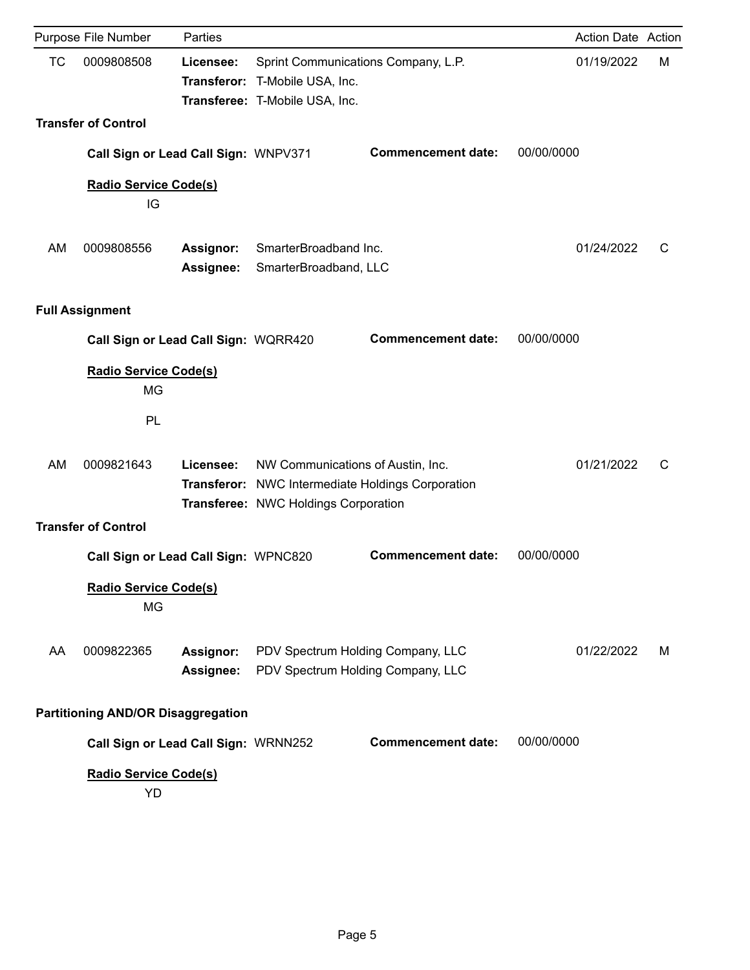|           | Purpose File Number                             | Parties                       |                                                                                                         |                                                   |            | Action Date Action |   |
|-----------|-------------------------------------------------|-------------------------------|---------------------------------------------------------------------------------------------------------|---------------------------------------------------|------------|--------------------|---|
| <b>TC</b> | 0009808508                                      | Licensee:                     | Sprint Communications Company, L.P.<br>Transferor: T-Mobile USA, Inc.<br>Transferee: T-Mobile USA, Inc. |                                                   |            | 01/19/2022         | M |
|           | <b>Transfer of Control</b>                      |                               |                                                                                                         |                                                   |            |                    |   |
|           | Call Sign or Lead Call Sign: WNPV371            |                               |                                                                                                         | <b>Commencement date:</b>                         | 00/00/0000 |                    |   |
|           | <b>Radio Service Code(s)</b><br>IG              |                               |                                                                                                         |                                                   |            |                    |   |
| AM        | 0009808556                                      | <b>Assignor:</b><br>Assignee: | SmarterBroadband Inc.<br>SmarterBroadband, LLC                                                          |                                                   |            | 01/24/2022         | C |
|           | <b>Full Assignment</b>                          |                               |                                                                                                         |                                                   |            |                    |   |
|           | Call Sign or Lead Call Sign: WQRR420            |                               |                                                                                                         | <b>Commencement date:</b>                         | 00/00/0000 |                    |   |
|           | <b>Radio Service Code(s)</b><br><b>MG</b><br>PL |                               |                                                                                                         |                                                   |            |                    |   |
| AM        | 0009821643                                      | Licensee:                     | NW Communications of Austin, Inc.<br>Transferee: NWC Holdings Corporation                               | Transferor: NWC Intermediate Holdings Corporation |            | 01/21/2022         | С |
|           | <b>Transfer of Control</b>                      |                               |                                                                                                         |                                                   |            |                    |   |
|           | Call Sign or Lead Call Sign: WPNC820            |                               |                                                                                                         | <b>Commencement date:</b>                         | 00/00/0000 |                    |   |
|           | Radio Service Code(s)<br>MG                     |                               |                                                                                                         |                                                   |            |                    |   |
| AA        | 0009822365                                      | Assignor:<br>Assignee:        | PDV Spectrum Holding Company, LLC<br>PDV Spectrum Holding Company, LLC                                  |                                                   |            | 01/22/2022         | м |
|           | <b>Partitioning AND/OR Disaggregation</b>       |                               |                                                                                                         |                                                   |            |                    |   |
|           | Call Sign or Lead Call Sign: WRNN252            |                               |                                                                                                         | <b>Commencement date:</b>                         | 00/00/0000 |                    |   |
|           | <b>Radio Service Code(s)</b><br>YD              |                               |                                                                                                         |                                                   |            |                    |   |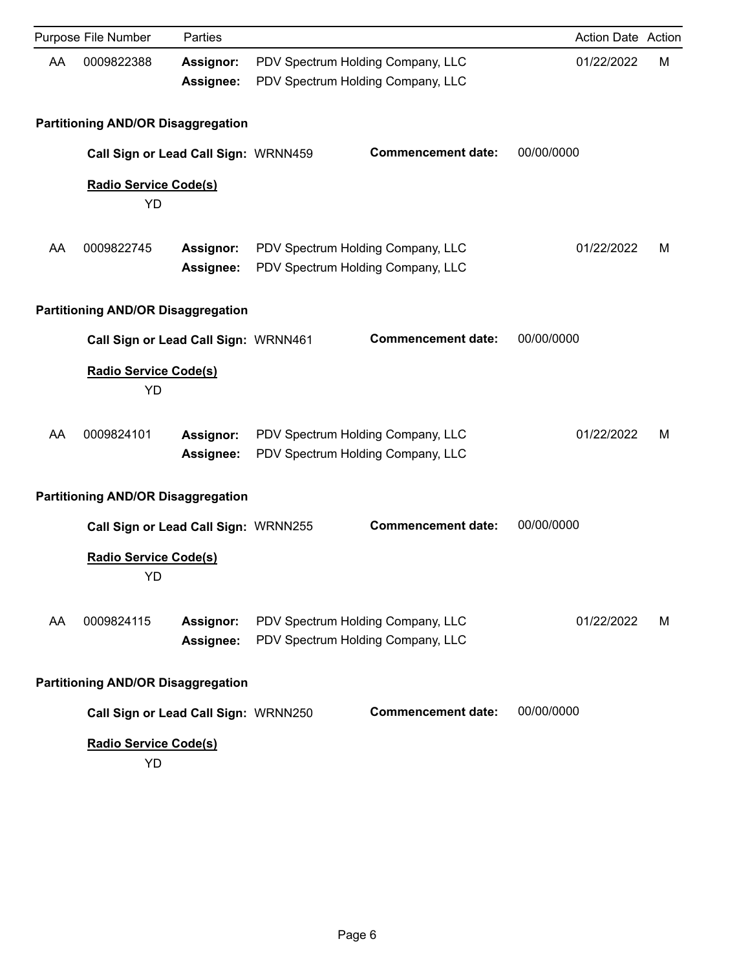|    | Purpose File Number                       | Parties                       |                                                                        |            | Action Date Action |   |
|----|-------------------------------------------|-------------------------------|------------------------------------------------------------------------|------------|--------------------|---|
| AA | 0009822388                                | Assignor:<br>Assignee:        | PDV Spectrum Holding Company, LLC<br>PDV Spectrum Holding Company, LLC |            | 01/22/2022         | M |
|    | <b>Partitioning AND/OR Disaggregation</b> |                               |                                                                        |            |                    |   |
|    | Call Sign or Lead Call Sign: WRNN459      |                               | <b>Commencement date:</b>                                              | 00/00/0000 |                    |   |
|    | Radio Service Code(s)<br>YD               |                               |                                                                        |            |                    |   |
| AA | 0009822745                                | <b>Assignor:</b><br>Assignee: | PDV Spectrum Holding Company, LLC<br>PDV Spectrum Holding Company, LLC |            | 01/22/2022         | м |
|    | <b>Partitioning AND/OR Disaggregation</b> |                               |                                                                        |            |                    |   |
|    | Call Sign or Lead Call Sign: WRNN461      |                               | <b>Commencement date:</b>                                              | 00/00/0000 |                    |   |
|    | <b>Radio Service Code(s)</b><br>YD        |                               |                                                                        |            |                    |   |
| AA | 0009824101                                | Assignor:<br>Assignee:        | PDV Spectrum Holding Company, LLC<br>PDV Spectrum Holding Company, LLC |            | 01/22/2022         | м |
|    | <b>Partitioning AND/OR Disaggregation</b> |                               |                                                                        |            |                    |   |
|    | Call Sign or Lead Call Sign: WRNN255      |                               | <b>Commencement date:</b>                                              | 00/00/0000 |                    |   |
|    | <b>Radio Service Code(s)</b><br>YD        |                               |                                                                        |            |                    |   |
| AA | 0009824115                                | Assignor:<br>Assignee:        | PDV Spectrum Holding Company, LLC<br>PDV Spectrum Holding Company, LLC |            | 01/22/2022         | м |
|    | <b>Partitioning AND/OR Disaggregation</b> |                               |                                                                        |            |                    |   |
|    | Call Sign or Lead Call Sign: WRNN250      |                               | <b>Commencement date:</b>                                              | 00/00/0000 |                    |   |
|    | <b>Radio Service Code(s)</b><br><b>YD</b> |                               |                                                                        |            |                    |   |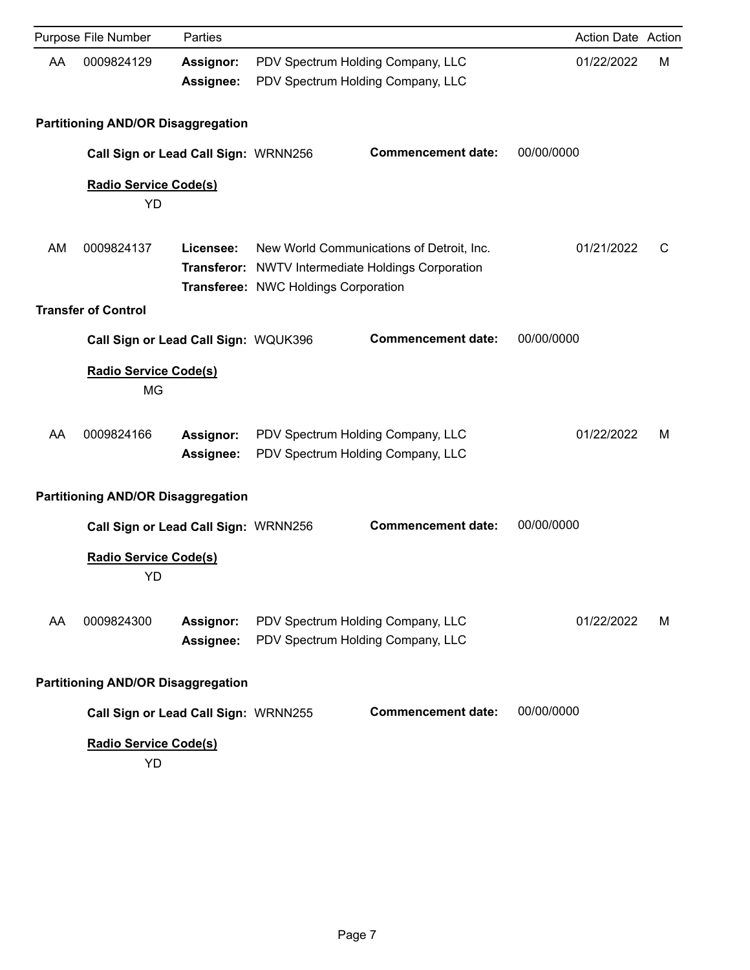|    | Purpose File Number                       | Parties                       |                                      |                                                                                                        | <b>Action Date Action</b> |   |
|----|-------------------------------------------|-------------------------------|--------------------------------------|--------------------------------------------------------------------------------------------------------|---------------------------|---|
| AA | 0009824129                                | <b>Assignor:</b><br>Assignee: |                                      | PDV Spectrum Holding Company, LLC<br>PDV Spectrum Holding Company, LLC                                 | 01/22/2022                | M |
|    | <b>Partitioning AND/OR Disaggregation</b> |                               |                                      |                                                                                                        |                           |   |
|    | Call Sign or Lead Call Sign: WRNN256      |                               |                                      | <b>Commencement date:</b>                                                                              | 00/00/0000                |   |
|    | <b>Radio Service Code(s)</b><br>YD        |                               |                                      |                                                                                                        |                           |   |
| AM | 0009824137                                | Licensee:                     | Transferee: NWC Holdings Corporation | New World Communications of Detroit, Inc.<br><b>Transferor:</b> NWTV Intermediate Holdings Corporation | 01/21/2022                | C |
|    | <b>Transfer of Control</b>                |                               |                                      |                                                                                                        |                           |   |
|    | Call Sign or Lead Call Sign: WQUK396      |                               |                                      | <b>Commencement date:</b>                                                                              | 00/00/0000                |   |
|    | <b>Radio Service Code(s)</b><br>MG        |                               |                                      |                                                                                                        |                           |   |
| AA | 0009824166                                | <b>Assignor:</b><br>Assignee: |                                      | PDV Spectrum Holding Company, LLC<br>PDV Spectrum Holding Company, LLC                                 | 01/22/2022                | м |
|    | <b>Partitioning AND/OR Disaggregation</b> |                               |                                      |                                                                                                        |                           |   |
|    | Call Sign or Lead Call Sign: WRNN256      |                               |                                      | <b>Commencement date:</b>                                                                              | 00/00/0000                |   |
|    | <b>Radio Service Code(s)</b><br><b>YD</b> |                               |                                      |                                                                                                        |                           |   |
| AA | 0009824300                                | Assignor:<br>Assignee:        |                                      | PDV Spectrum Holding Company, LLC<br>PDV Spectrum Holding Company, LLC                                 | 01/22/2022                | м |
|    | <b>Partitioning AND/OR Disaggregation</b> |                               |                                      |                                                                                                        |                           |   |
|    | Call Sign or Lead Call Sign: WRNN255      |                               |                                      | <b>Commencement date:</b>                                                                              | 00/00/0000                |   |
|    | <b>Radio Service Code(s)</b><br>YD        |                               |                                      |                                                                                                        |                           |   |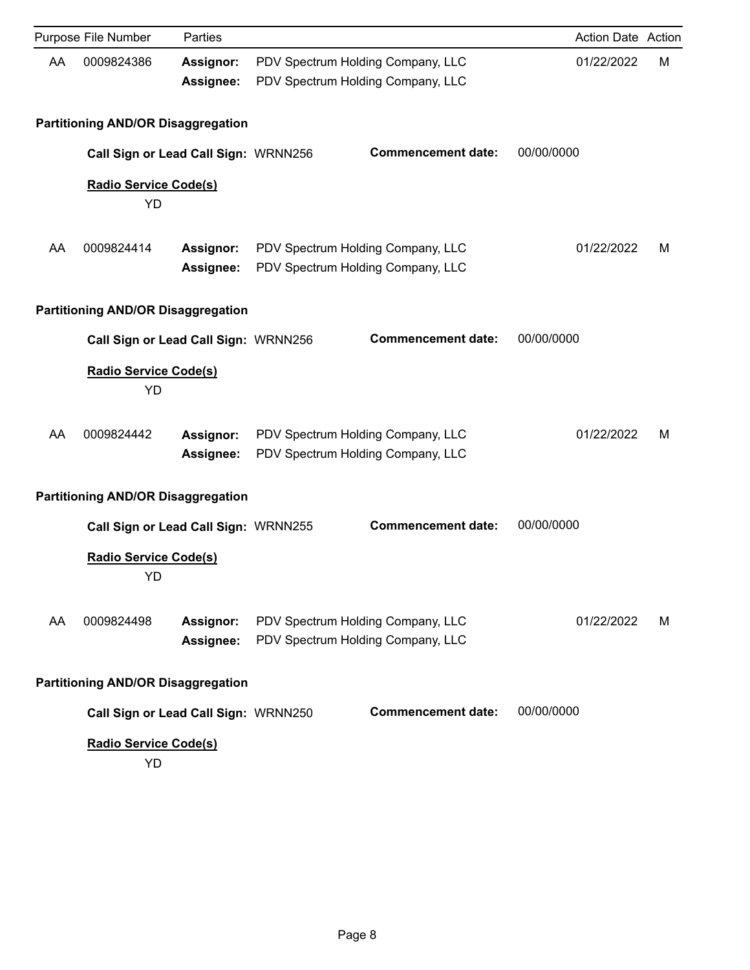|    | Purpose File Number                       | Parties                       |                                                                        |            | Action Date Action |   |
|----|-------------------------------------------|-------------------------------|------------------------------------------------------------------------|------------|--------------------|---|
| AA | 0009824386                                | <b>Assignor:</b><br>Assignee: | PDV Spectrum Holding Company, LLC<br>PDV Spectrum Holding Company, LLC |            | 01/22/2022         | M |
|    | <b>Partitioning AND/OR Disaggregation</b> |                               |                                                                        |            |                    |   |
|    | Call Sign or Lead Call Sign: WRNN256      |                               | <b>Commencement date:</b>                                              | 00/00/0000 |                    |   |
|    | Radio Service Code(s)<br>YD               |                               |                                                                        |            |                    |   |
| AA | 0009824414                                | <b>Assignor:</b><br>Assignee: | PDV Spectrum Holding Company, LLC<br>PDV Spectrum Holding Company, LLC |            | 01/22/2022         | м |
|    | <b>Partitioning AND/OR Disaggregation</b> |                               |                                                                        |            |                    |   |
|    | Call Sign or Lead Call Sign: WRNN256      |                               | <b>Commencement date:</b>                                              | 00/00/0000 |                    |   |
|    | <b>Radio Service Code(s)</b><br>YD        |                               |                                                                        |            |                    |   |
| AA | 0009824442                                | Assignor:<br>Assignee:        | PDV Spectrum Holding Company, LLC<br>PDV Spectrum Holding Company, LLC |            | 01/22/2022         | м |
|    | <b>Partitioning AND/OR Disaggregation</b> |                               |                                                                        |            |                    |   |
|    | Call Sign or Lead Call Sign: WRNN255      |                               | <b>Commencement date:</b>                                              | 00/00/0000 |                    |   |
|    | <b>Radio Service Code(s)</b><br>YD        |                               |                                                                        |            |                    |   |
| AA | 0009824498                                | Assignor:<br>Assignee:        | PDV Spectrum Holding Company, LLC<br>PDV Spectrum Holding Company, LLC |            | 01/22/2022         | м |
|    | <b>Partitioning AND/OR Disaggregation</b> |                               |                                                                        |            |                    |   |
|    | Call Sign or Lead Call Sign: WRNN250      |                               | <b>Commencement date:</b>                                              | 00/00/0000 |                    |   |
|    | Radio Service Code(s)<br>YD               |                               |                                                                        |            |                    |   |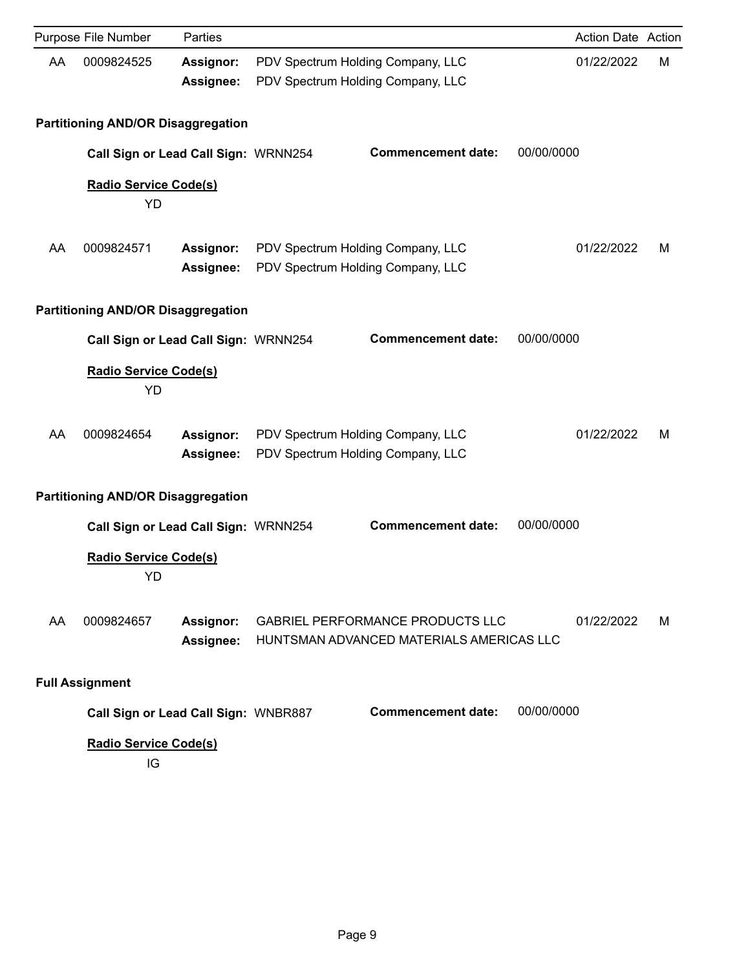|    | Purpose File Number                       | Parties                              |                                                                                     |            | <b>Action Date Action</b> |   |
|----|-------------------------------------------|--------------------------------------|-------------------------------------------------------------------------------------|------------|---------------------------|---|
| AA | 0009824525                                | Assignor:<br>Assignee:               | PDV Spectrum Holding Company, LLC<br>PDV Spectrum Holding Company, LLC              |            | 01/22/2022                | M |
|    | <b>Partitioning AND/OR Disaggregation</b> |                                      |                                                                                     |            |                           |   |
|    |                                           | Call Sign or Lead Call Sign: WRNN254 | <b>Commencement date:</b>                                                           | 00/00/0000 |                           |   |
|    | <b>Radio Service Code(s)</b><br><b>YD</b> |                                      |                                                                                     |            |                           |   |
| AA | 0009824571                                | Assignor:<br>Assignee:               | PDV Spectrum Holding Company, LLC<br>PDV Spectrum Holding Company, LLC              |            | 01/22/2022                | м |
|    | <b>Partitioning AND/OR Disaggregation</b> |                                      |                                                                                     |            |                           |   |
|    |                                           | Call Sign or Lead Call Sign: WRNN254 | <b>Commencement date:</b>                                                           | 00/00/0000 |                           |   |
|    | <b>Radio Service Code(s)</b><br>YD        |                                      |                                                                                     |            |                           |   |
| AA | 0009824654                                | Assignor:<br>Assignee:               | PDV Spectrum Holding Company, LLC<br>PDV Spectrum Holding Company, LLC              |            | 01/22/2022                | м |
|    | <b>Partitioning AND/OR Disaggregation</b> |                                      |                                                                                     |            |                           |   |
|    |                                           | Call Sign or Lead Call Sign: WRNN254 | <b>Commencement date:</b>                                                           | 00/00/0000 |                           |   |
|    | <b>Radio Service Code(s)</b><br>YD        |                                      |                                                                                     |            |                           |   |
| AA | 0009824657                                | Assignor:<br><b>Assignee:</b>        | <b>GABRIEL PERFORMANCE PRODUCTS LLC</b><br>HUNTSMAN ADVANCED MATERIALS AMERICAS LLC |            | 01/22/2022                | M |
|    | <b>Full Assignment</b>                    |                                      |                                                                                     |            |                           |   |
|    |                                           | Call Sign or Lead Call Sign: WNBR887 | <b>Commencement date:</b>                                                           | 00/00/0000 |                           |   |
|    | <b>Radio Service Code(s)</b>              |                                      |                                                                                     |            |                           |   |

IG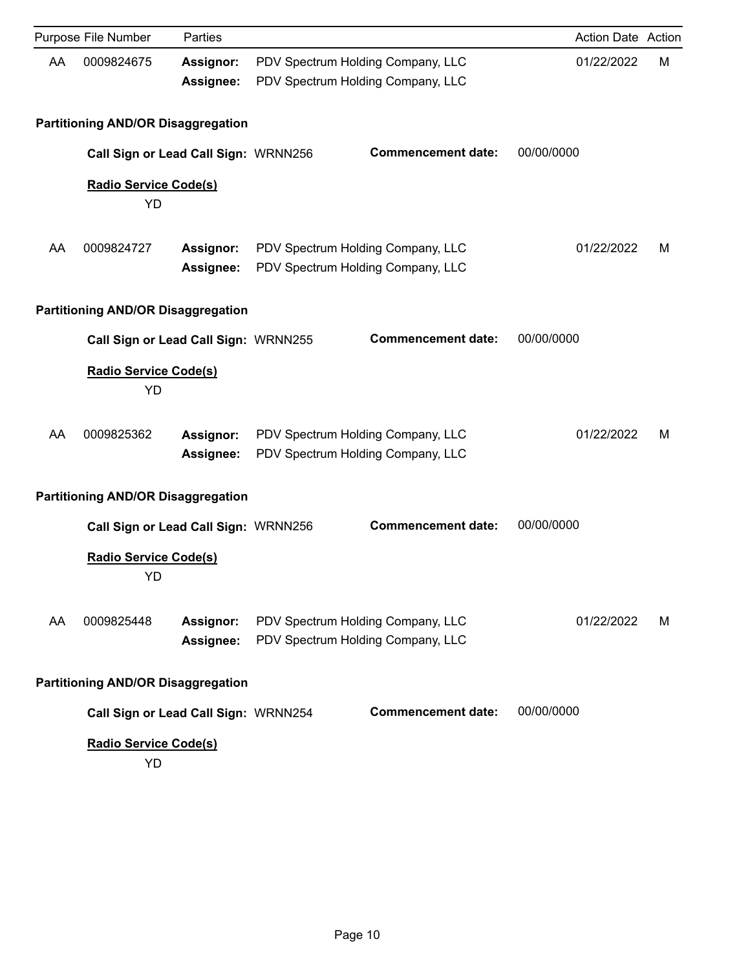|    | Purpose File Number                       | Parties                       |                                                                        |            | Action Date Action |   |
|----|-------------------------------------------|-------------------------------|------------------------------------------------------------------------|------------|--------------------|---|
| AA | 0009824675                                | Assignor:<br>Assignee:        | PDV Spectrum Holding Company, LLC<br>PDV Spectrum Holding Company, LLC |            | 01/22/2022         | M |
|    | <b>Partitioning AND/OR Disaggregation</b> |                               |                                                                        |            |                    |   |
|    | Call Sign or Lead Call Sign: WRNN256      |                               | <b>Commencement date:</b>                                              | 00/00/0000 |                    |   |
|    | Radio Service Code(s)<br>YD               |                               |                                                                        |            |                    |   |
| AA | 0009824727                                | <b>Assignor:</b><br>Assignee: | PDV Spectrum Holding Company, LLC<br>PDV Spectrum Holding Company, LLC |            | 01/22/2022         | м |
|    | <b>Partitioning AND/OR Disaggregation</b> |                               |                                                                        |            |                    |   |
|    | Call Sign or Lead Call Sign: WRNN255      |                               | <b>Commencement date:</b>                                              | 00/00/0000 |                    |   |
|    | <b>Radio Service Code(s)</b><br>YD        |                               |                                                                        |            |                    |   |
| AA | 0009825362                                | Assignor:<br>Assignee:        | PDV Spectrum Holding Company, LLC<br>PDV Spectrum Holding Company, LLC |            | 01/22/2022         | м |
|    | <b>Partitioning AND/OR Disaggregation</b> |                               |                                                                        |            |                    |   |
|    | Call Sign or Lead Call Sign: WRNN256      |                               | <b>Commencement date:</b>                                              | 00/00/0000 |                    |   |
|    | <b>Radio Service Code(s)</b><br>YD        |                               |                                                                        |            |                    |   |
| AA | 0009825448                                | Assignor:<br>Assignee:        | PDV Spectrum Holding Company, LLC<br>PDV Spectrum Holding Company, LLC |            | 01/22/2022         | м |
|    | <b>Partitioning AND/OR Disaggregation</b> |                               |                                                                        |            |                    |   |
|    | Call Sign or Lead Call Sign: WRNN254      |                               | <b>Commencement date:</b>                                              | 00/00/0000 |                    |   |
|    | <b>Radio Service Code(s)</b><br>YD        |                               |                                                                        |            |                    |   |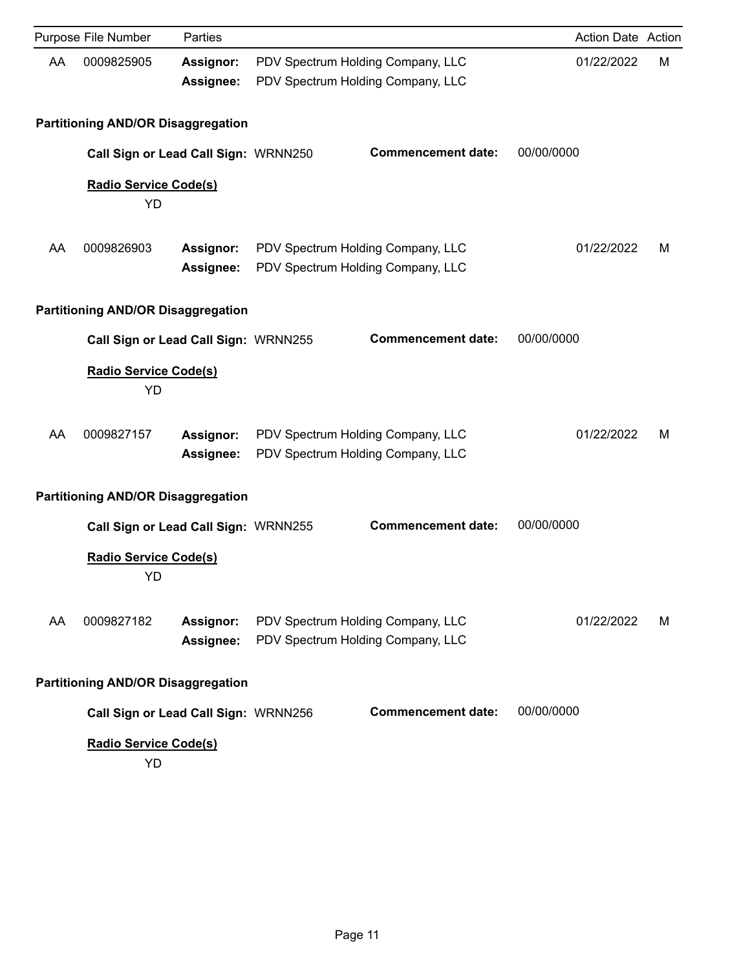|    | Purpose File Number                       | Parties                       |                                                                        |            | Action Date Action |   |
|----|-------------------------------------------|-------------------------------|------------------------------------------------------------------------|------------|--------------------|---|
| AA | 0009825905                                | Assignor:<br>Assignee:        | PDV Spectrum Holding Company, LLC<br>PDV Spectrum Holding Company, LLC |            | 01/22/2022         | M |
|    | <b>Partitioning AND/OR Disaggregation</b> |                               |                                                                        |            |                    |   |
|    | Call Sign or Lead Call Sign: WRNN250      |                               | <b>Commencement date:</b>                                              | 00/00/0000 |                    |   |
|    | Radio Service Code(s)<br>YD               |                               |                                                                        |            |                    |   |
| AA | 0009826903                                | <b>Assignor:</b><br>Assignee: | PDV Spectrum Holding Company, LLC<br>PDV Spectrum Holding Company, LLC |            | 01/22/2022         | м |
|    | <b>Partitioning AND/OR Disaggregation</b> |                               |                                                                        |            |                    |   |
|    | Call Sign or Lead Call Sign: WRNN255      |                               | <b>Commencement date:</b>                                              | 00/00/0000 |                    |   |
|    | <b>Radio Service Code(s)</b><br>YD        |                               |                                                                        |            |                    |   |
| AA | 0009827157                                | Assignor:<br>Assignee:        | PDV Spectrum Holding Company, LLC<br>PDV Spectrum Holding Company, LLC |            | 01/22/2022         | м |
|    | <b>Partitioning AND/OR Disaggregation</b> |                               |                                                                        |            |                    |   |
|    | Call Sign or Lead Call Sign: WRNN255      |                               | <b>Commencement date:</b>                                              | 00/00/0000 |                    |   |
|    | <b>Radio Service Code(s)</b><br>YD        |                               |                                                                        |            |                    |   |
| AA | 0009827182                                | Assignor:<br>Assignee:        | PDV Spectrum Holding Company, LLC<br>PDV Spectrum Holding Company, LLC |            | 01/22/2022         | м |
|    | <b>Partitioning AND/OR Disaggregation</b> |                               |                                                                        |            |                    |   |
|    | Call Sign or Lead Call Sign: WRNN256      |                               | <b>Commencement date:</b>                                              | 00/00/0000 |                    |   |
|    | <b>Radio Service Code(s)</b><br>YD        |                               |                                                                        |            |                    |   |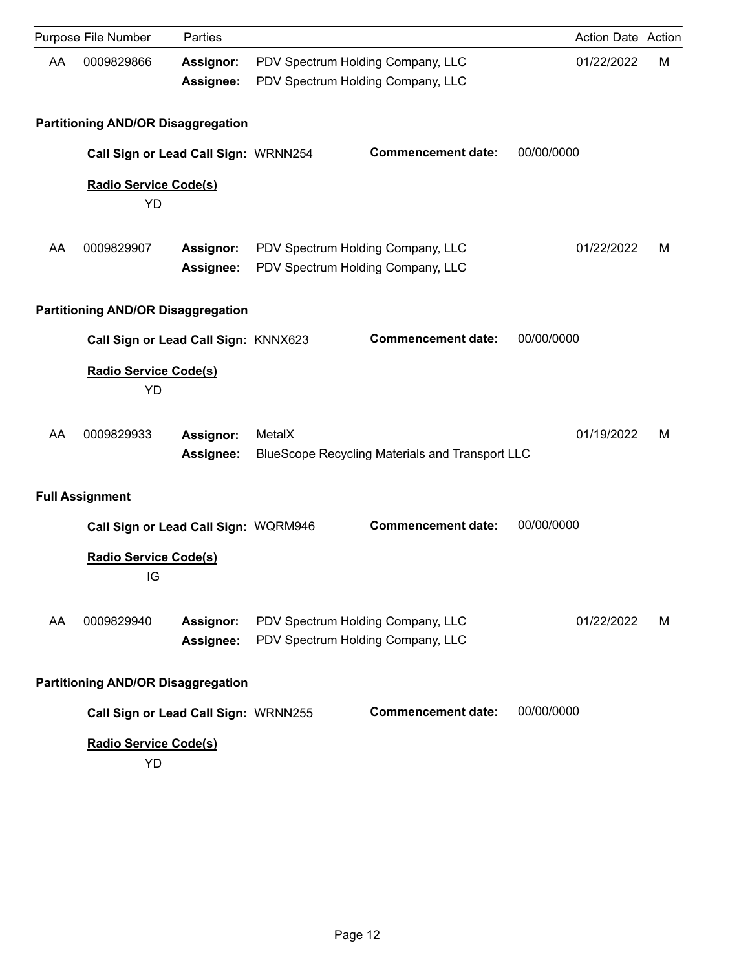|    | Purpose File Number                       | Parties                       |                                                                        |                                                        |            | Action Date Action |   |
|----|-------------------------------------------|-------------------------------|------------------------------------------------------------------------|--------------------------------------------------------|------------|--------------------|---|
| AA | 0009829866                                | <b>Assignor:</b><br>Assignee: | PDV Spectrum Holding Company, LLC<br>PDV Spectrum Holding Company, LLC |                                                        |            | 01/22/2022         | M |
|    | <b>Partitioning AND/OR Disaggregation</b> |                               |                                                                        |                                                        |            |                    |   |
|    | Call Sign or Lead Call Sign: WRNN254      |                               |                                                                        | <b>Commencement date:</b>                              | 00/00/0000 |                    |   |
|    | Radio Service Code(s)<br>YD               |                               |                                                                        |                                                        |            |                    |   |
| AA | 0009829907                                | Assignor:<br>Assignee:        | PDV Spectrum Holding Company, LLC<br>PDV Spectrum Holding Company, LLC |                                                        |            | 01/22/2022         | м |
|    | <b>Partitioning AND/OR Disaggregation</b> |                               |                                                                        |                                                        |            |                    |   |
|    | Call Sign or Lead Call Sign: KNNX623      |                               |                                                                        | <b>Commencement date:</b>                              | 00/00/0000 |                    |   |
|    | Radio Service Code(s)<br>YD               |                               |                                                                        |                                                        |            |                    |   |
| AA | 0009829933                                | Assignor:<br>Assignee:        | MetalX                                                                 | <b>BlueScope Recycling Materials and Transport LLC</b> |            | 01/19/2022         | м |
|    | <b>Full Assignment</b>                    |                               |                                                                        |                                                        |            |                    |   |
|    | Call Sign or Lead Call Sign: WQRM946      |                               |                                                                        | <b>Commencement date:</b>                              | 00/00/0000 |                    |   |
|    | <b>Radio Service Code(s)</b><br>IG        |                               |                                                                        |                                                        |            |                    |   |
| AA | 0009829940                                | Assignor:<br>Assignee:        | PDV Spectrum Holding Company, LLC<br>PDV Spectrum Holding Company, LLC |                                                        |            | 01/22/2022         | м |
|    | <b>Partitioning AND/OR Disaggregation</b> |                               |                                                                        |                                                        |            |                    |   |
|    | Call Sign or Lead Call Sign: WRNN255      |                               |                                                                        | <b>Commencement date:</b>                              | 00/00/0000 |                    |   |
|    | Radio Service Code(s)<br>YD               |                               |                                                                        |                                                        |            |                    |   |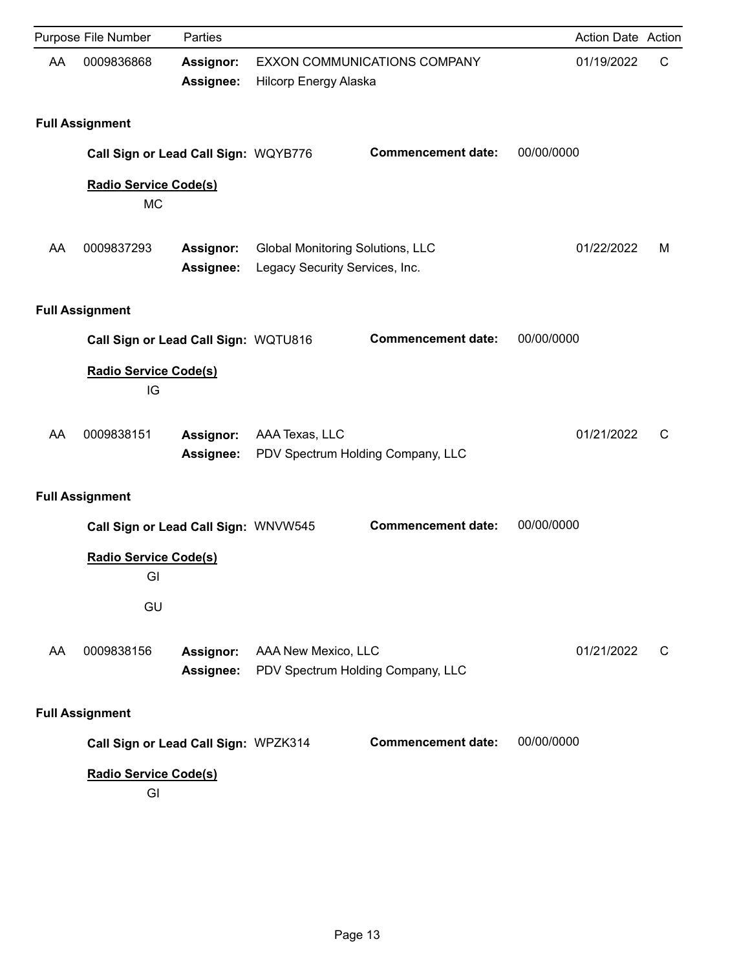|    | Purpose File Number                       | Parties                       |                                                                           |                                     |            | Action Date Action |   |
|----|-------------------------------------------|-------------------------------|---------------------------------------------------------------------------|-------------------------------------|------------|--------------------|---|
| AA | 0009836868                                | Assignor:<br>Assignee:        | Hilcorp Energy Alaska                                                     | <b>EXXON COMMUNICATIONS COMPANY</b> |            | 01/19/2022         | C |
|    | <b>Full Assignment</b>                    |                               |                                                                           |                                     |            |                    |   |
|    | Call Sign or Lead Call Sign: WQYB776      |                               |                                                                           | <b>Commencement date:</b>           | 00/00/0000 |                    |   |
|    | <b>Radio Service Code(s)</b><br><b>MC</b> |                               |                                                                           |                                     |            |                    |   |
| AA | 0009837293                                | <b>Assignor:</b><br>Assignee: | <b>Global Monitoring Solutions, LLC</b><br>Legacy Security Services, Inc. |                                     |            | 01/22/2022         | м |
|    | <b>Full Assignment</b>                    |                               |                                                                           |                                     |            |                    |   |
|    | Call Sign or Lead Call Sign: WQTU816      |                               |                                                                           | <b>Commencement date:</b>           | 00/00/0000 |                    |   |
|    | <b>Radio Service Code(s)</b><br>IG        |                               |                                                                           |                                     |            |                    |   |
| AA | 0009838151                                | Assignor:<br>Assignee:        | AAA Texas, LLC                                                            | PDV Spectrum Holding Company, LLC   |            | 01/21/2022         | C |
|    | <b>Full Assignment</b>                    |                               |                                                                           |                                     |            |                    |   |
|    | Call Sign or Lead Call Sign: WNVW545      |                               |                                                                           | <b>Commencement date:</b>           | 00/00/0000 |                    |   |
|    | <b>Radio Service Code(s)</b><br>GI        |                               |                                                                           |                                     |            |                    |   |
|    | GU                                        |                               |                                                                           |                                     |            |                    |   |
| AA | 0009838156                                | Assignor:<br>Assignee:        | AAA New Mexico, LLC                                                       | PDV Spectrum Holding Company, LLC   |            | 01/21/2022         | C |
|    | <b>Full Assignment</b>                    |                               |                                                                           |                                     |            |                    |   |
|    | Call Sign or Lead Call Sign: WPZK314      |                               |                                                                           | <b>Commencement date:</b>           | 00/00/0000 |                    |   |
|    | <b>Radio Service Code(s)</b><br>GI        |                               |                                                                           |                                     |            |                    |   |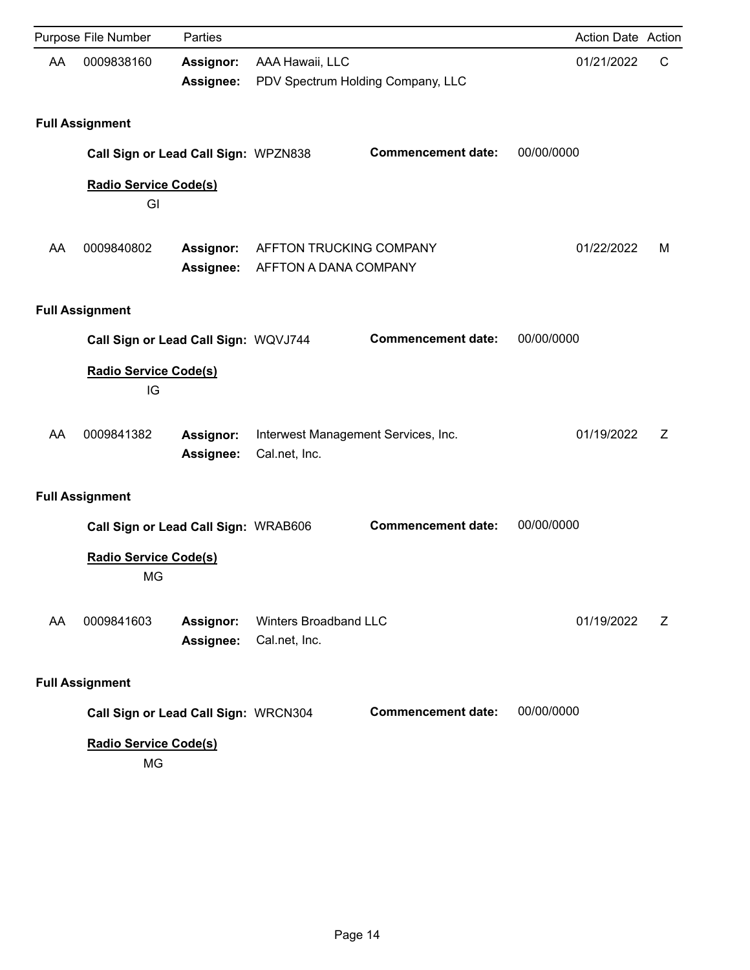|    | Purpose File Number                                                        | Parties                       |                                                      |                                   | Action Date Action |   |
|----|----------------------------------------------------------------------------|-------------------------------|------------------------------------------------------|-----------------------------------|--------------------|---|
| AA | 0009838160                                                                 | <b>Assignor:</b><br>Assignee: | AAA Hawaii, LLC                                      | PDV Spectrum Holding Company, LLC | 01/21/2022         | C |
|    | <b>Full Assignment</b>                                                     |                               |                                                      |                                   |                    |   |
|    | Call Sign or Lead Call Sign: WPZN838                                       |                               |                                                      | <b>Commencement date:</b>         | 00/00/0000         |   |
|    | Radio Service Code(s)<br>GI                                                |                               |                                                      |                                   |                    |   |
| AA | 0009840802                                                                 | Assignor:<br><b>Assignee:</b> | AFFTON TRUCKING COMPANY<br>AFFTON A DANA COMPANY     |                                   | 01/22/2022         | м |
|    | <b>Full Assignment</b>                                                     |                               |                                                      |                                   |                    |   |
|    | Call Sign or Lead Call Sign: WQVJ744                                       |                               |                                                      | <b>Commencement date:</b>         | 00/00/0000         |   |
|    | <b>Radio Service Code(s)</b><br>IG                                         |                               |                                                      |                                   |                    |   |
| AA | 0009841382                                                                 | Assignor:<br>Assignee:        | Interwest Management Services, Inc.<br>Cal.net, Inc. |                                   | 01/19/2022         | Z |
|    | <b>Full Assignment</b>                                                     |                               |                                                      |                                   |                    |   |
|    | Call Sign or Lead Call Sign: WRAB606<br><b>Radio Service Code(s)</b><br>MG |                               |                                                      | <b>Commencement date:</b>         | 00/00/0000         |   |
| AA | 0009841603                                                                 | Assignor:<br>Assignee:        | Winters Broadband LLC<br>Cal.net, Inc.               |                                   | 01/19/2022         | Z |
|    | <b>Full Assignment</b>                                                     |                               |                                                      |                                   |                    |   |
|    | Call Sign or Lead Call Sign: WRCN304                                       |                               |                                                      | <b>Commencement date:</b>         | 00/00/0000         |   |
|    | <b>Radio Service Code(s)</b><br>MG                                         |                               |                                                      |                                   |                    |   |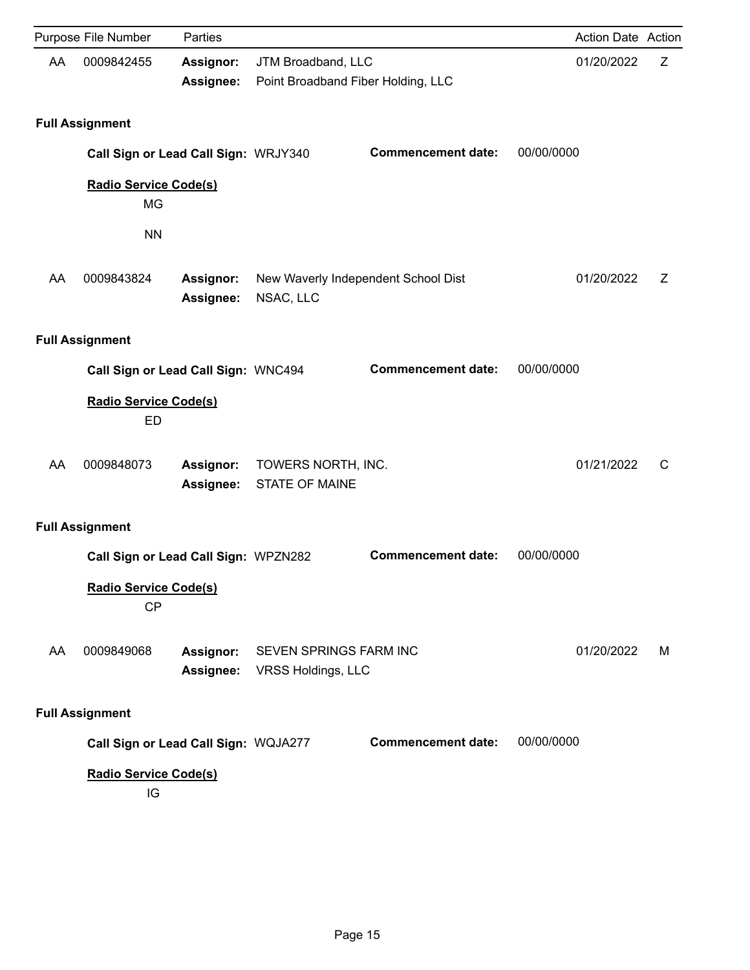|    | Purpose File Number                       | Parties                       |                                                          |                                     | <b>Action Date Action</b> |   |
|----|-------------------------------------------|-------------------------------|----------------------------------------------------------|-------------------------------------|---------------------------|---|
| AA | 0009842455                                | Assignor:<br>Assignee:        | JTM Broadband, LLC<br>Point Broadband Fiber Holding, LLC |                                     | 01/20/2022                | Z |
|    | <b>Full Assignment</b>                    |                               |                                                          |                                     |                           |   |
|    | Call Sign or Lead Call Sign: WRJY340      |                               |                                                          | <b>Commencement date:</b>           | 00/00/0000                |   |
|    | <b>Radio Service Code(s)</b><br>MG        |                               |                                                          |                                     |                           |   |
|    | <b>NN</b>                                 |                               |                                                          |                                     |                           |   |
| AA | 0009843824                                | <b>Assignor:</b><br>Assignee: | NSAC, LLC                                                | New Waverly Independent School Dist | 01/20/2022                | Z |
|    | <b>Full Assignment</b>                    |                               |                                                          |                                     |                           |   |
|    | Call Sign or Lead Call Sign: WNC494       |                               |                                                          | <b>Commencement date:</b>           | 00/00/0000                |   |
|    | Radio Service Code(s)<br><b>ED</b>        |                               |                                                          |                                     |                           |   |
| AA | 0009848073                                | Assignor:<br><b>Assignee:</b> | TOWERS NORTH, INC.<br><b>STATE OF MAINE</b>              |                                     | 01/21/2022                | C |
|    | <b>Full Assignment</b>                    |                               |                                                          |                                     |                           |   |
|    | Call Sign or Lead Call Sign: WPZN282      |                               |                                                          | <b>Commencement date:</b>           | 00/00/0000                |   |
|    | <b>Radio Service Code(s)</b><br><b>CP</b> |                               |                                                          |                                     |                           |   |
| AA | 0009849068                                | Assignor:<br>Assignee:        | <b>SEVEN SPRINGS FARM INC</b><br>VRSS Holdings, LLC      |                                     | 01/20/2022                | м |
|    | <b>Full Assignment</b>                    |                               |                                                          |                                     |                           |   |
|    | Call Sign or Lead Call Sign: WQJA277      |                               |                                                          | <b>Commencement date:</b>           | 00/00/0000                |   |
|    | Radio Service Code(s)<br>IG               |                               |                                                          |                                     |                           |   |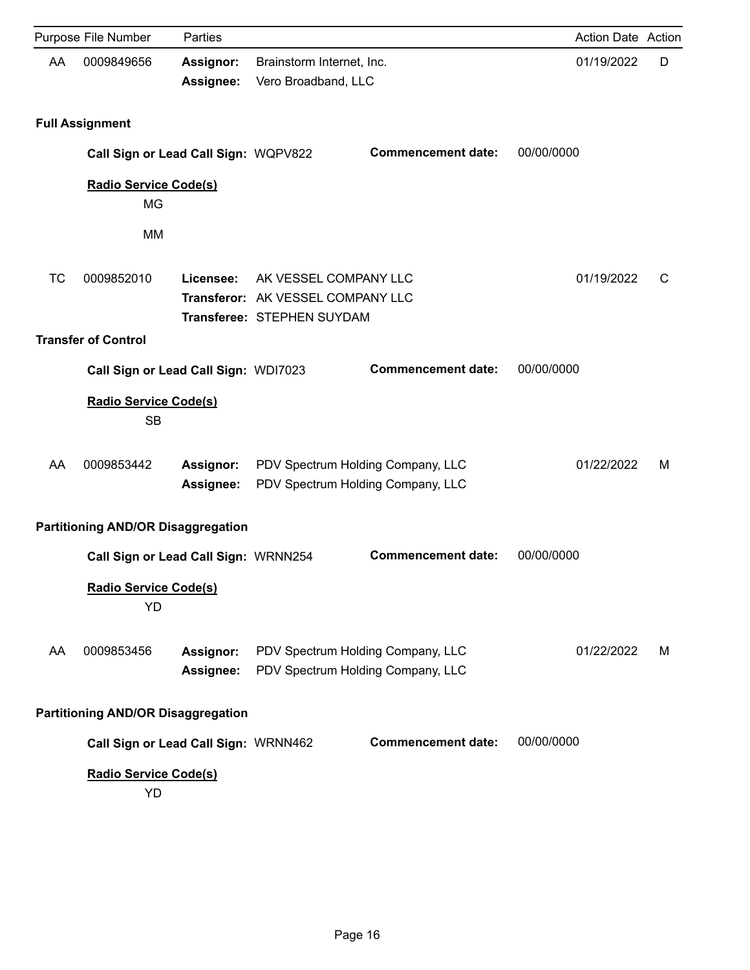|           | Purpose File Number                       | Parties                       |                                                                                          |                                                                        | Action Date Action |   |
|-----------|-------------------------------------------|-------------------------------|------------------------------------------------------------------------------------------|------------------------------------------------------------------------|--------------------|---|
| AA        | 0009849656                                | <b>Assignor:</b><br>Assignee: | Brainstorm Internet, Inc.<br>Vero Broadband, LLC                                         |                                                                        | 01/19/2022         | D |
|           | <b>Full Assignment</b>                    |                               |                                                                                          |                                                                        |                    |   |
|           | Call Sign or Lead Call Sign: WQPV822      |                               |                                                                                          | <b>Commencement date:</b>                                              | 00/00/0000         |   |
|           | <b>Radio Service Code(s)</b><br><b>MG</b> |                               |                                                                                          |                                                                        |                    |   |
|           | <b>MM</b>                                 |                               |                                                                                          |                                                                        |                    |   |
| <b>TC</b> | 0009852010                                | Licensee:                     | AK VESSEL COMPANY LLC<br>Transferor: AK VESSEL COMPANY LLC<br>Transferee: STEPHEN SUYDAM |                                                                        | 01/19/2022         | С |
|           | <b>Transfer of Control</b>                |                               |                                                                                          |                                                                        |                    |   |
|           | Call Sign or Lead Call Sign: WDI7023      |                               |                                                                                          | <b>Commencement date:</b>                                              | 00/00/0000         |   |
|           | <b>Radio Service Code(s)</b><br><b>SB</b> |                               |                                                                                          |                                                                        |                    |   |
| AA        | 0009853442                                | Assignor:<br>Assignee:        |                                                                                          | PDV Spectrum Holding Company, LLC<br>PDV Spectrum Holding Company, LLC | 01/22/2022         | м |
|           | <b>Partitioning AND/OR Disaggregation</b> |                               |                                                                                          |                                                                        |                    |   |
|           | Call Sign or Lead Call Sign: WRNN254      |                               |                                                                                          | <b>Commencement date:</b>                                              | 00/00/0000         |   |
|           | <b>Radio Service Code(s)</b><br>YD        |                               |                                                                                          |                                                                        |                    |   |
| AA        | 0009853456                                | Assignor:<br>Assignee:        |                                                                                          | PDV Spectrum Holding Company, LLC<br>PDV Spectrum Holding Company, LLC | 01/22/2022         | м |
|           | <b>Partitioning AND/OR Disaggregation</b> |                               |                                                                                          |                                                                        |                    |   |
|           | Call Sign or Lead Call Sign: WRNN462      |                               |                                                                                          | <b>Commencement date:</b>                                              | 00/00/0000         |   |
|           | <b>Radio Service Code(s)</b><br>YD        |                               |                                                                                          |                                                                        |                    |   |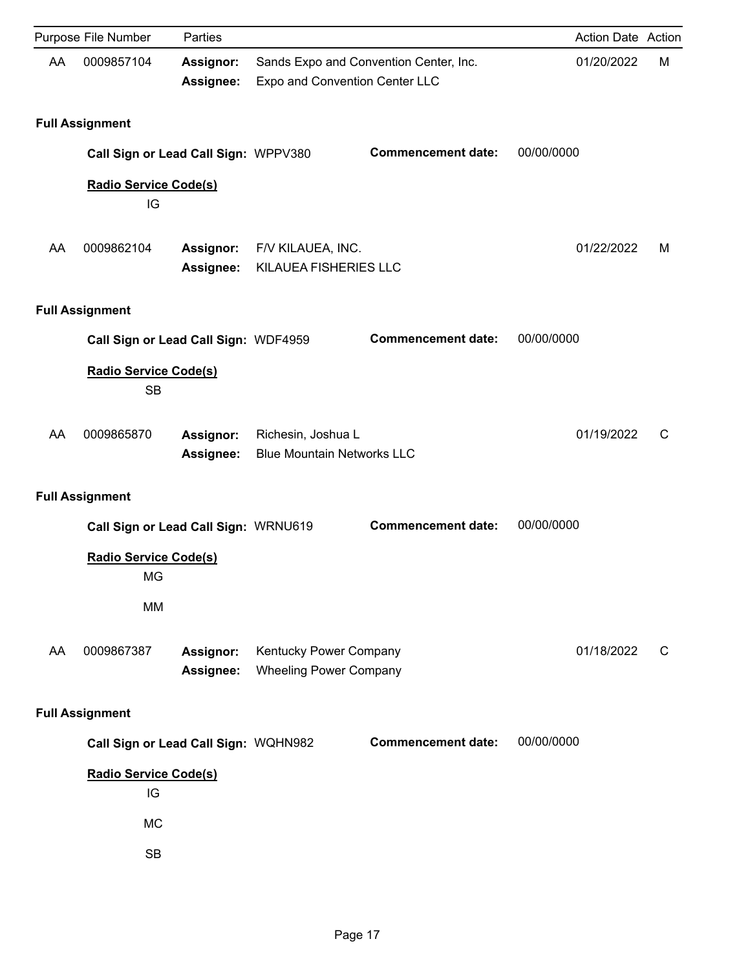|    | Purpose File Number                       | Parties                |                                                         |                                                                          |            | Action Date Action |   |
|----|-------------------------------------------|------------------------|---------------------------------------------------------|--------------------------------------------------------------------------|------------|--------------------|---|
| AA | 0009857104                                | Assignor:<br>Assignee: |                                                         | Sands Expo and Convention Center, Inc.<br>Expo and Convention Center LLC |            | 01/20/2022         | M |
|    | <b>Full Assignment</b>                    |                        |                                                         |                                                                          |            |                    |   |
|    | Call Sign or Lead Call Sign: WPPV380      |                        |                                                         | <b>Commencement date:</b>                                                | 00/00/0000 |                    |   |
|    | <b>Radio Service Code(s)</b><br>IG        |                        |                                                         |                                                                          |            |                    |   |
| AA | 0009862104                                | Assignor:<br>Assignee: | F/V KILAUEA, INC.<br>KILAUEA FISHERIES LLC              |                                                                          |            | 01/22/2022         | M |
|    | <b>Full Assignment</b>                    |                        |                                                         |                                                                          |            |                    |   |
|    | Call Sign or Lead Call Sign: WDF4959      |                        |                                                         | <b>Commencement date:</b>                                                | 00/00/0000 |                    |   |
|    | <b>Radio Service Code(s)</b><br><b>SB</b> |                        |                                                         |                                                                          |            |                    |   |
| AA | 0009865870                                | Assignor:<br>Assignee: | Richesin, Joshua L<br><b>Blue Mountain Networks LLC</b> |                                                                          |            | 01/19/2022         | C |
|    | <b>Full Assignment</b>                    |                        |                                                         |                                                                          |            |                    |   |
|    | Call Sign or Lead Call Sign: WRNU619      |                        |                                                         | <b>Commencement date:</b>                                                | 00/00/0000 |                    |   |
|    | <b>Radio Service Code(s)</b><br>MG        |                        |                                                         |                                                                          |            |                    |   |
|    | MM                                        |                        |                                                         |                                                                          |            |                    |   |
| AA | 0009867387                                | Assignor:<br>Assignee: | Kentucky Power Company<br><b>Wheeling Power Company</b> |                                                                          |            | 01/18/2022         | C |
|    | <b>Full Assignment</b>                    |                        |                                                         |                                                                          |            |                    |   |
|    | Call Sign or Lead Call Sign: WQHN982      |                        |                                                         | <b>Commencement date:</b>                                                | 00/00/0000 |                    |   |
|    | Radio Service Code(s)<br>IG               |                        |                                                         |                                                                          |            |                    |   |
|    | <b>MC</b>                                 |                        |                                                         |                                                                          |            |                    |   |
|    | <b>SB</b>                                 |                        |                                                         |                                                                          |            |                    |   |
|    |                                           |                        |                                                         |                                                                          |            |                    |   |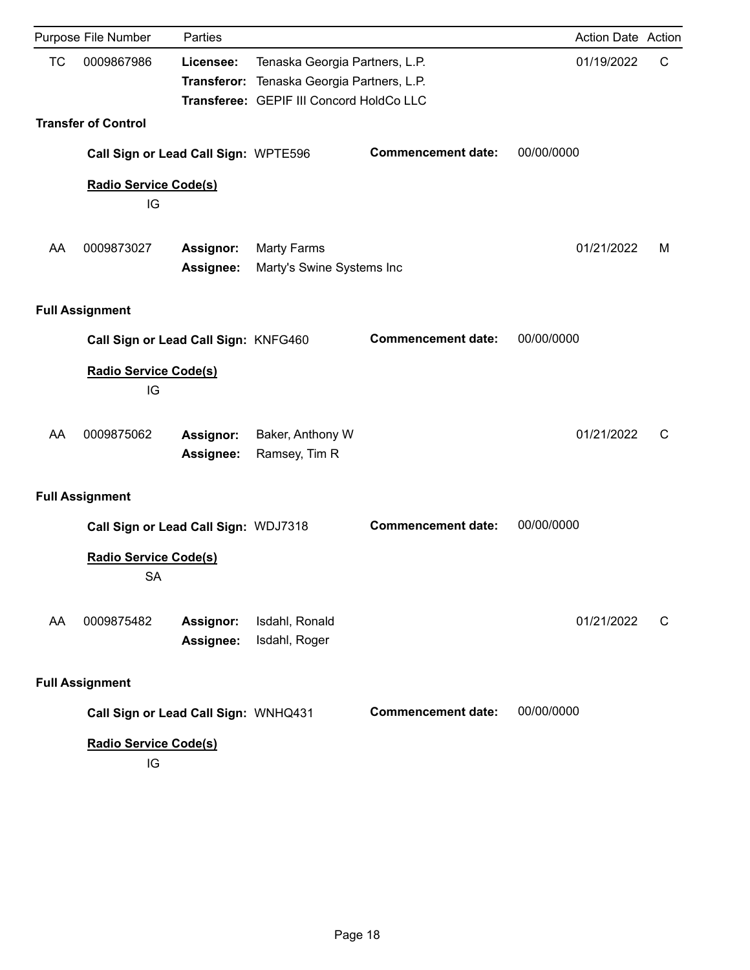|           | Purpose File Number                       | Parties                       |                                                                                                                          |                           | Action Date Action |   |
|-----------|-------------------------------------------|-------------------------------|--------------------------------------------------------------------------------------------------------------------------|---------------------------|--------------------|---|
| <b>TC</b> | 0009867986                                | Licensee:                     | Tenaska Georgia Partners, L.P.<br>Transferor: Tenaska Georgia Partners, L.P.<br>Transferee: GEPIF III Concord HoldCo LLC |                           | 01/19/2022         | C |
|           | <b>Transfer of Control</b>                |                               |                                                                                                                          |                           |                    |   |
|           | Call Sign or Lead Call Sign: WPTE596      |                               |                                                                                                                          | <b>Commencement date:</b> | 00/00/0000         |   |
|           | <b>Radio Service Code(s)</b><br>IG        |                               |                                                                                                                          |                           |                    |   |
| AA        | 0009873027                                | Assignor:<br>Assignee:        | <b>Marty Farms</b><br>Marty's Swine Systems Inc                                                                          |                           | 01/21/2022         | м |
|           | <b>Full Assignment</b>                    |                               |                                                                                                                          |                           |                    |   |
|           | Call Sign or Lead Call Sign: KNFG460      |                               |                                                                                                                          | <b>Commencement date:</b> | 00/00/0000         |   |
|           | <b>Radio Service Code(s)</b><br>IG        |                               |                                                                                                                          |                           |                    |   |
| AA        | 0009875062                                | <b>Assignor:</b><br>Assignee: | Baker, Anthony W<br>Ramsey, Tim R                                                                                        |                           | 01/21/2022         | C |
|           | <b>Full Assignment</b>                    |                               |                                                                                                                          |                           |                    |   |
|           | Call Sign or Lead Call Sign: WDJ7318      |                               |                                                                                                                          | <b>Commencement date:</b> | 00/00/0000         |   |
|           | <b>Radio Service Code(s)</b><br><b>SA</b> |                               |                                                                                                                          |                           |                    |   |
| AA        | 0009875482                                | Assignor:<br>Assignee:        | Isdahl, Ronald<br>Isdahl, Roger                                                                                          |                           | 01/21/2022         | C |
|           | <b>Full Assignment</b>                    |                               |                                                                                                                          |                           |                    |   |
|           | Call Sign or Lead Call Sign: WNHQ431      |                               |                                                                                                                          | <b>Commencement date:</b> | 00/00/0000         |   |
|           | <b>Radio Service Code(s)</b><br>IG        |                               |                                                                                                                          |                           |                    |   |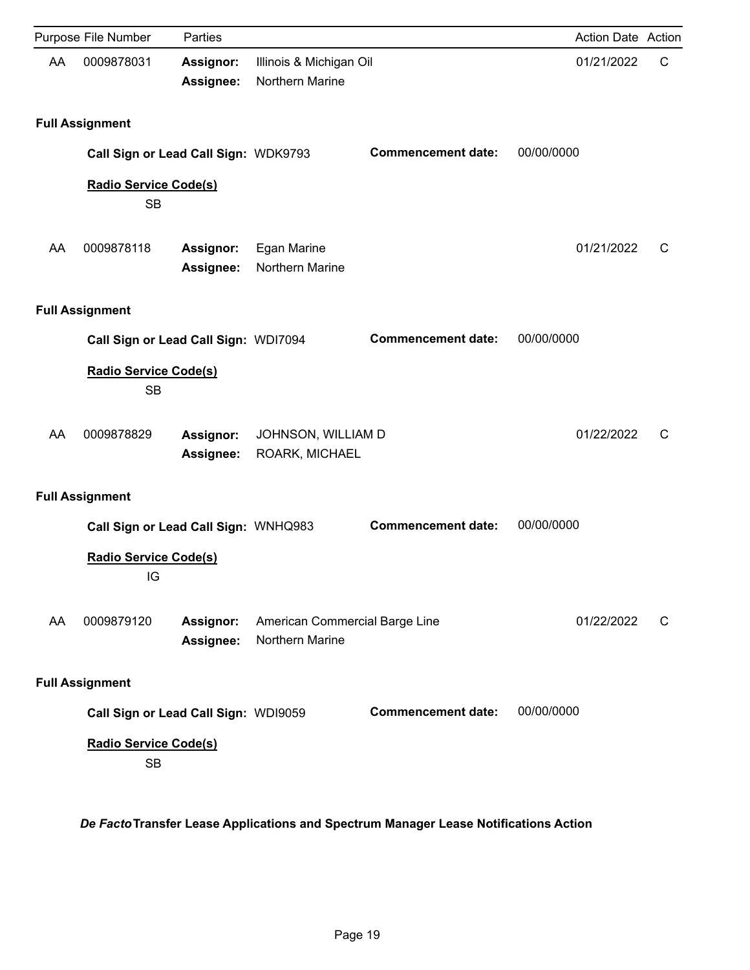|    | Purpose File Number                  | Parties                       |                                                   |                           | Action Date Action |   |
|----|--------------------------------------|-------------------------------|---------------------------------------------------|---------------------------|--------------------|---|
| AA | 0009878031                           | <b>Assignor:</b><br>Assignee: | Illinois & Michigan Oil<br>Northern Marine        |                           | 01/21/2022         | C |
|    | <b>Full Assignment</b>               |                               |                                                   |                           |                    |   |
|    | Call Sign or Lead Call Sign: WDK9793 |                               |                                                   | <b>Commencement date:</b> | 00/00/0000         |   |
|    | Radio Service Code(s)<br><b>SB</b>   |                               |                                                   |                           |                    |   |
| AA | 0009878118                           | <b>Assignor:</b><br>Assignee: | Egan Marine<br>Northern Marine                    |                           | 01/21/2022         | C |
|    | <b>Full Assignment</b>               |                               |                                                   |                           |                    |   |
|    | Call Sign or Lead Call Sign: WDI7094 |                               |                                                   | <b>Commencement date:</b> | 00/00/0000         |   |
|    | Radio Service Code(s)<br><b>SB</b>   |                               |                                                   |                           |                    |   |
| AA | 0009878829                           | Assignor:<br>Assignee:        | JOHNSON, WILLIAM D<br>ROARK, MICHAEL              |                           | 01/22/2022         | C |
|    | <b>Full Assignment</b>               |                               |                                                   |                           |                    |   |
|    | Call Sign or Lead Call Sign: WNHQ983 |                               |                                                   | <b>Commencement date:</b> | 00/00/0000         |   |
|    | <b>Radio Service Code(s)</b><br>IG   |                               |                                                   |                           |                    |   |
| AA | 0009879120                           | Assignor:<br>Assignee:        | American Commercial Barge Line<br>Northern Marine |                           | 01/22/2022         | C |
|    | <b>Full Assignment</b>               |                               |                                                   |                           |                    |   |
|    | Call Sign or Lead Call Sign: WDI9059 |                               |                                                   | <b>Commencement date:</b> | 00/00/0000         |   |
|    | Radio Service Code(s)<br><b>SB</b>   |                               |                                                   |                           |                    |   |

*De Facto***Transfer Lease Applications and Spectrum Manager Lease Notifications Action**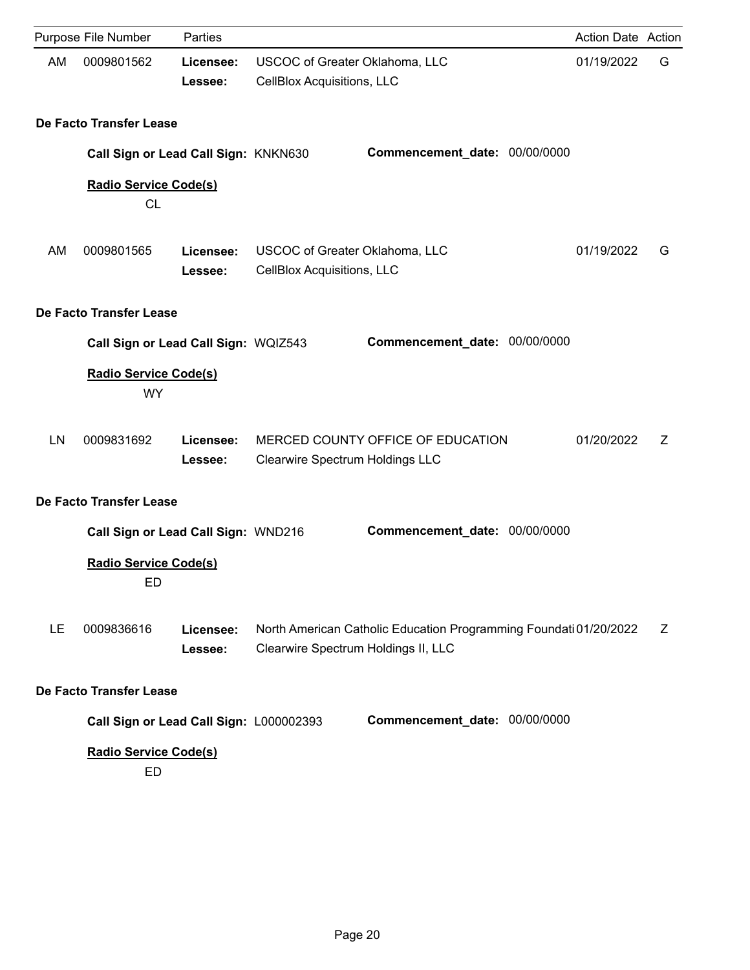|    | Purpose File Number                                                       | Parties              |                                                                     |                                                                   | Action Date Action |   |
|----|---------------------------------------------------------------------------|----------------------|---------------------------------------------------------------------|-------------------------------------------------------------------|--------------------|---|
| AM | 0009801562                                                                | Licensee:<br>Lessee: | <b>USCOC of Greater Oklahoma, LLC</b><br>CellBlox Acquisitions, LLC |                                                                   | 01/19/2022         | G |
|    | De Facto Transfer Lease                                                   |                      |                                                                     |                                                                   |                    |   |
|    | Call Sign or Lead Call Sign: KNKN630                                      |                      |                                                                     | Commencement_date: 00/00/0000                                     |                    |   |
|    | <b>Radio Service Code(s)</b><br><b>CL</b>                                 |                      |                                                                     |                                                                   |                    |   |
| AM | 0009801565                                                                | Licensee:<br>Lessee: | USCOC of Greater Oklahoma, LLC<br>CellBlox Acquisitions, LLC        |                                                                   | 01/19/2022         | G |
|    | De Facto Transfer Lease                                                   |                      |                                                                     |                                                                   |                    |   |
|    | Call Sign or Lead Call Sign: WQIZ543                                      |                      |                                                                     | Commencement_date: 00/00/0000                                     |                    |   |
|    | <b>Radio Service Code(s)</b><br><b>WY</b>                                 |                      |                                                                     |                                                                   |                    |   |
| LN | 0009831692                                                                | Licensee:<br>Lessee: | <b>Clearwire Spectrum Holdings LLC</b>                              | MERCED COUNTY OFFICE OF EDUCATION                                 | 01/20/2022         | Z |
|    | De Facto Transfer Lease                                                   |                      |                                                                     |                                                                   |                    |   |
|    | Call Sign or Lead Call Sign: WND216<br><b>Radio Service Code(s)</b><br>ED |                      |                                                                     | Commencement_date: 00/00/0000                                     |                    |   |
| LE | 0009836616                                                                | Licensee:<br>Lessee: | Clearwire Spectrum Holdings II, LLC                                 | North American Catholic Education Programming Foundati 01/20/2022 |                    | Z |
|    | De Facto Transfer Lease                                                   |                      |                                                                     |                                                                   |                    |   |
|    | Call Sign or Lead Call Sign: L000002393                                   |                      |                                                                     | Commencement_date: 00/00/0000                                     |                    |   |
|    | Radio Service Code(s)<br>ED                                               |                      |                                                                     |                                                                   |                    |   |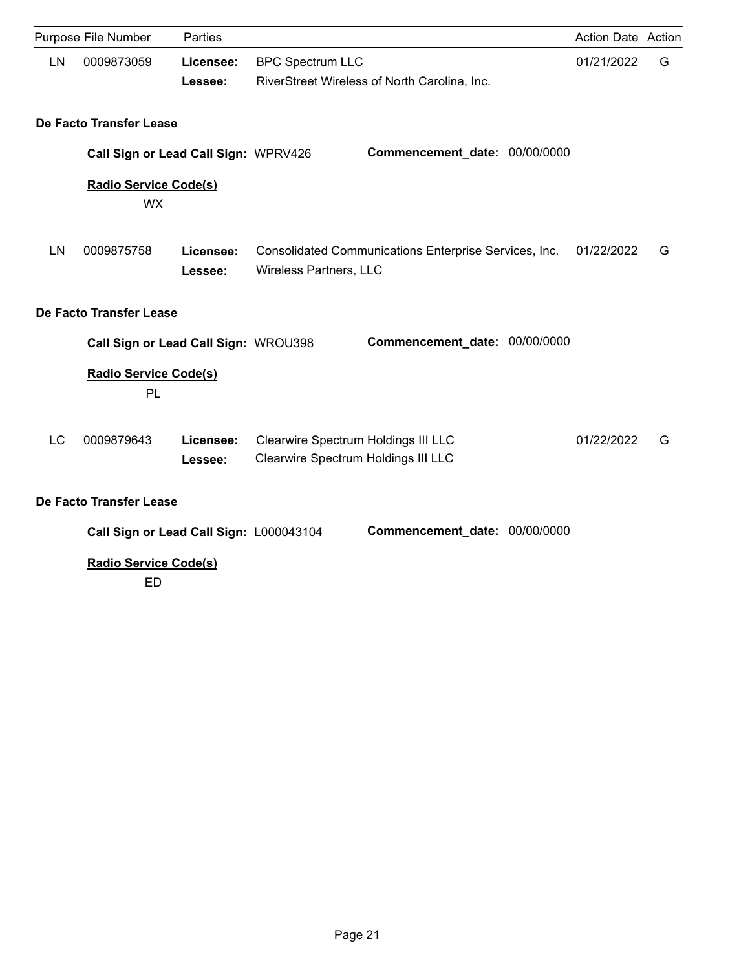|           | Purpose File Number                       | Parties              |                                                                            |                                                       | Action Date Action |   |
|-----------|-------------------------------------------|----------------------|----------------------------------------------------------------------------|-------------------------------------------------------|--------------------|---|
| LN        | 0009873059                                | Licensee:<br>Lessee: | <b>BPC Spectrum LLC</b>                                                    | RiverStreet Wireless of North Carolina, Inc.          | 01/21/2022         | G |
|           | De Facto Transfer Lease                   |                      |                                                                            |                                                       |                    |   |
|           | Call Sign or Lead Call Sign: WPRV426      |                      |                                                                            | Commencement_date: 00/00/0000                         |                    |   |
|           | <b>Radio Service Code(s)</b><br><b>WX</b> |                      |                                                                            |                                                       |                    |   |
| LN        | 0009875758                                | Licensee:<br>Lessee: | Wireless Partners, LLC                                                     | Consolidated Communications Enterprise Services, Inc. | 01/22/2022         | G |
|           | De Facto Transfer Lease                   |                      |                                                                            |                                                       |                    |   |
|           | Call Sign or Lead Call Sign: WROU398      |                      |                                                                            | Commencement_date: 00/00/0000                         |                    |   |
|           | <b>Radio Service Code(s)</b><br>PL        |                      |                                                                            |                                                       |                    |   |
| <b>LC</b> | 0009879643                                | Licensee:<br>Lessee: | Clearwire Spectrum Holdings III LLC<br>Clearwire Spectrum Holdings III LLC |                                                       | 01/22/2022         | G |
|           | De Facto Transfer Lease                   |                      |                                                                            |                                                       |                    |   |
|           | Call Sign or Lead Call Sign: L000043104   |                      |                                                                            | Commencement_date: 00/00/0000                         |                    |   |
|           | Radio Service Code(s)<br><b>ED</b>        |                      |                                                                            |                                                       |                    |   |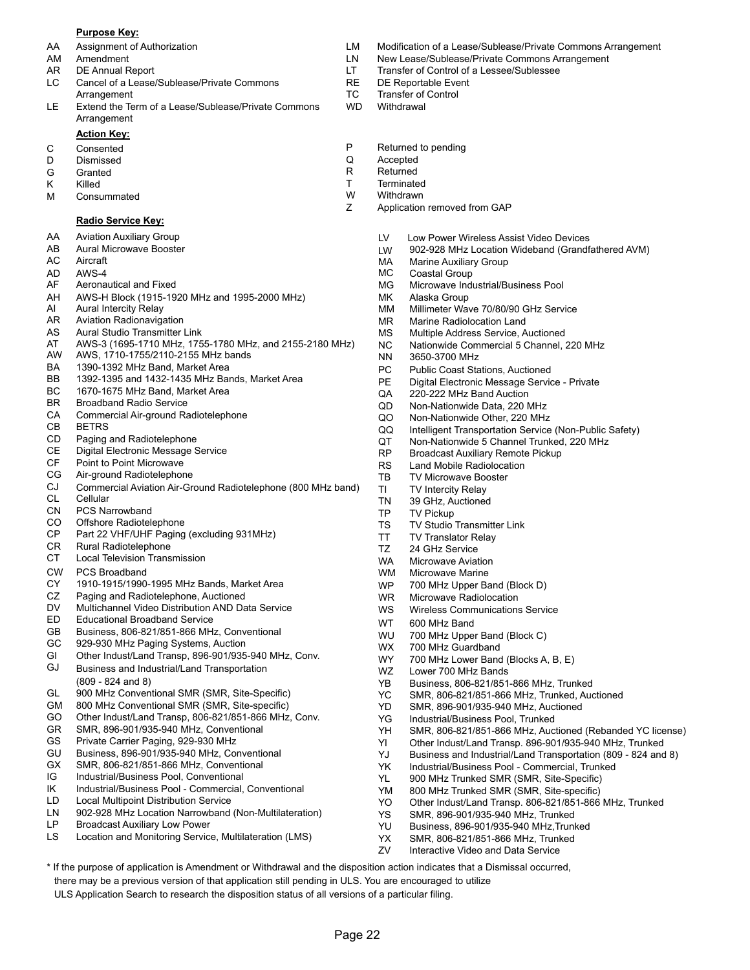#### **Purpose Key:**

- 
- 
- 
- LC Cancel of a Lease/Sublease/Private Commons The RE DE Reportable Event Arrangement **TC** Transfer of Control
- LE Extend the Term of a Lease/Sublease/Private Commons WD Withdrawal Arrangement

### **Action Key:**

- 
- D Dismissed Q Accepted
- 
- 
- M Consummated M W Withdrawn<br>
Z Application

#### **Radio Service Key:**

- AA Aviation Auxiliary Group
- AB Aural Microwave Booster
- AC Aircraft
- AD AWS-4
- AF Aeronautical and Fixed
- AH AWS-H Block (1915-1920 MHz and 1995-2000 MHz)
- AI Aural Intercity Relay
- AR Aviation Radionavigation
- AS Aural Studio Transmitter Link
- AT AWS-3 (1695-1710 MHz, 1755-1780 MHz, and 2155-2180 MHz)
- AW AWS, 1710-1755/2110-2155 MHz bands
- BA 1390-1392 MHz Band, Market Area
- BB 1392-1395 and 1432-1435 MHz Bands, Market Area
- BC 1670-1675 MHz Band, Market Area
- BR Broadband Radio Service
- CA Commercial Air-ground Radiotelephone
- CB BETRS
- CD Paging and Radiotelephone
- CE Digital Electronic Message Service
- CF Point to Point Microwave
- CG Air-ground Radiotelephone
- CL Cellular CJ Commercial Aviation Air-Ground Radiotelephone (800 MHz band)
- CN PCS Narrowband
- CO Offshore Radiotelephone
- CP Part 22 VHF/UHF Paging (excluding 931MHz)
- CR Rural Radiotelephone
- CT Local Television Transmission
- CW PCS Broadband
- CY 1910-1915/1990-1995 MHz Bands, Market Area
- CZ Paging and Radiotelephone, Auctioned
- DV Multichannel Video Distribution AND Data Service
- ED Educational Broadband Service<br>
The Contract of Contract Contract Contract Contract Open WT 600 MHz Band
- GB Business, 806-821/851-866 MHz, Conventional
- GC 929-930 MHz Paging Systems, Auction
- GI Other Indust/Land Transp, 896-901/935-940 MHz, Conv.
- GJ Business and Industrial/Land Transportation (809 - 824 and 8)
- GL 900 MHz Conventional SMR (SMR, Site-Specific)
- GM 800 MHz Conventional SMR (SMR, Site-specific)
- GO Other Indust/Land Transp, 806-821/851-866 MHz, Conv.
- GR SMR, 896-901/935-940 MHz, Conventional
- GS Private Carrier Paging, 929-930 MHz
- GU Business, 896-901/935-940 MHz, Conventional
- GX SMR, 806-821/851-866 MHz, Conventional
- IG Industrial/Business Pool, Conventional
- IK Industrial/Business Pool Commercial, Conventional
- LD Local Multipoint Distribution Service
- LN 902-928 MHz Location Narrowband (Non-Multilateration)
- LP Broadcast Auxiliary Low Power
- LS Location and Monitoring Service, Multilateration (LMS)

\* If the purpose of application is Amendment or Withdrawal and the disposition action indicates that a Dismissal occurred,

Page 22

there may be a previous version of that application still pending in ULS. You are encouraged to utilize ULS Application Search to research the disposition status of all versions of a particular filing.

- AA Assignment of Authorization LM Modification of a Lease/Sublease/Private Commons Arrangement
- AM Amendment **Amendment** 2008 Commons Arrangement LN New Lease/Sublease/Private Commons Arrangement
- AR DE Annual Report **LT** Transfer of Control of a Lessee/Sublessee
	-
	-
	-
- C Consented **C** Consented **P** Returned to pending **P** Returned to pending **P** Returned to pending
	-
- G Granted **R** Returned
- K Killed **T** Terminated **T** Terminated M Consummated **T** Terminated M Consummated M Consum
	-
	- Application removed from GAP
		- LV Low Power Wireless Assist Video Devices
		- LW 902-928 MHz Location Wideband (Grandfathered AVM)
		- MA Marine Auxiliary Group
		- MC Coastal Group
		- Microwave Industrial/Business Pool MG
		- Alaska Group MK
		- Millimeter Wave 70/80/90 GHz Service MM
		- Marine Radiolocation Land MR
		- Multiple Address Service, Auctioned MS
		- Nationwide Commercial 5 Channel, 220 MHz NC
		- 3650-3700 MHz NN
		- PC Public Coast Stations, Auctioned
		- PE Digital Electronic Message Service Private
		- QA 220-222 MHz Band Auction
		- QD Non-Nationwide Data, 220 MHz
		- QO Non-Nationwide Other, 220 MHz
		- QQ Intelligent Transportation Service (Non-Public Safety)
		- QT Non-Nationwide 5 Channel Trunked, 220 MHz
		- RP Broadcast Auxiliary Remote Pickup
		- RS Land Mobile Radiolocation
		- TB TV Microwave Booster
		- TI TV Intercity Relay TN 39 GHz, Auctioned
		- TP TV Pickup

WM WP

YD

WZ

WX WY

- TS TV Studio Transmitter Link
- TT TV Translator Relay

WR Microwave Radiolocation

700 MHz Upper Band (Block D)

YB Business, 806-821/851-866 MHz, Trunked YC SMR, 806-821/851-866 MHz, Trunked, Auctioned SMR, 896-901/935-940 MHz, Auctioned

700 MHz Lower Band (Blocks A, B, E)

YK Industrial/Business Pool - Commercial, Trunked YL 900 MHz Trunked SMR (SMR, Site-Specific) YM 800 MHz Trunked SMR (SMR, Site-specific)

YH SMR, 806-821/851-866 MHz, Auctioned (Rebanded YC license) YI Other Indust/Land Transp. 896-901/935-940 MHz, Trunked YJ Business and Industrial/Land Transportation (809 - 824 and 8)

YO Other Indust/Land Transp. 806-821/851-866 MHz, Trunked

WS Wireless Communications Service

Lower 700 MHz Bands

700 MHz Guardband

WU 700 MHz Upper Band (Block C)

YG Industrial/Business Pool, Trunked

YS SMR, 896-901/935-940 MHz, Trunked YU Business, 896-901/935-940 MHz,Trunked YX SMR, 806-821/851-866 MHz, Trunked ZV Interactive Video and Data Service

Microwave Marine

TZ 24 GHz Service

WA Microwave Aviation